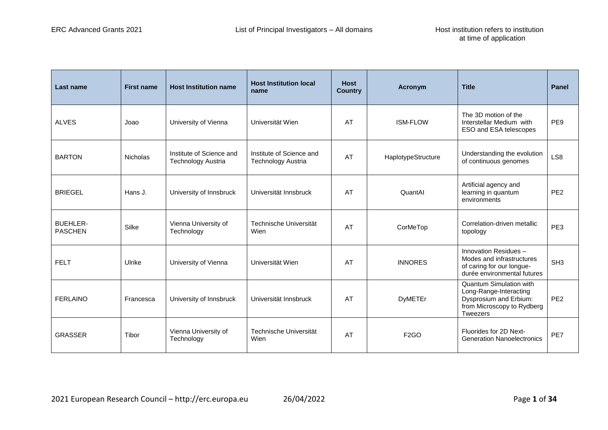| Last name                         | <b>First name</b> | <b>Host Institution name</b>                   | <b>Host Institution local</b><br>name                 | <b>Host</b><br><b>Country</b> | Acronym            | <b>Title</b>                                                                                                                        | <b>Panel</b>    |
|-----------------------------------|-------------------|------------------------------------------------|-------------------------------------------------------|-------------------------------|--------------------|-------------------------------------------------------------------------------------------------------------------------------------|-----------------|
| <b>ALVES</b>                      | Joao              | University of Vienna                           | Universität Wien                                      | AT                            | <b>ISM-FLOW</b>    | The 3D motion of the<br>Interstellar Medium with<br>ESO and ESA telescopes                                                          | PE <sub>9</sub> |
| <b>BARTON</b>                     | <b>Nicholas</b>   | Institute of Science and<br>Technology Austria | Institute of Science and<br><b>Technology Austria</b> | <b>AT</b>                     | HaplotypeStructure | Understanding the evolution<br>of continuous genomes                                                                                | LS <sub>8</sub> |
| <b>BRIEGEL</b>                    | Hans J.           | University of Innsbruck                        | Universität Innsbruck                                 | AT                            | QuantAl            | Artificial agency and<br>learning in quantum<br>environments                                                                        | PE <sub>2</sub> |
| <b>BUEHLER-</b><br><b>PASCHEN</b> | Silke             | Vienna University of<br>Technology             | Technische Universität<br>Wien                        | AT                            | CorMeTop           | Correlation-driven metallic<br>topology                                                                                             | PE <sub>3</sub> |
| <b>FELT</b>                       | Ulrike            | University of Vienna                           | Universität Wien                                      | AT                            | <b>INNORES</b>     | Innovation Residues -<br>Modes and infrastructures<br>of caring for our longue-<br>durée environmental futures                      | SH <sub>3</sub> |
| <b>FERLAINO</b>                   | Francesca         | University of Innsbruck                        | Universität Innsbruck                                 | AT                            | <b>DyMETEr</b>     | <b>Quantum Simulation with</b><br>Long-Range-Interacting<br>Dysprosium and Erbium:<br>from Microscopy to Rydberg<br><b>Tweezers</b> | PE <sub>2</sub> |
| <b>GRASSER</b>                    | Tibor             | Vienna University of<br>Technology             | Technische Universität<br>Wien                        | AT                            | F <sub>2</sub> GO  | Fluorides for 2D Next-<br><b>Generation Nanoelectronics</b>                                                                         | PE7             |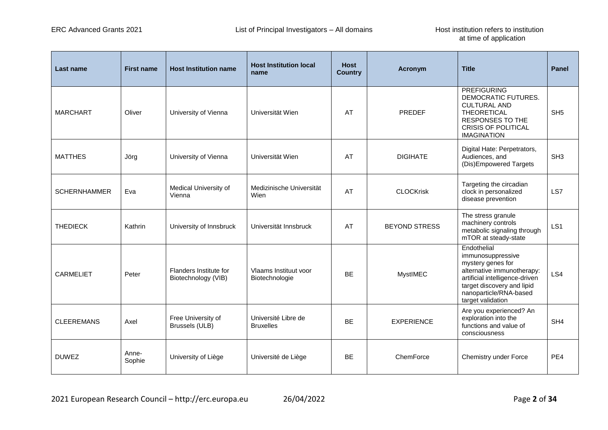| Last name           | <b>First name</b> | <b>Host Institution name</b>                  | <b>Host Institution local</b><br>name   | <b>Host</b><br><b>Country</b> | <b>Acronym</b>       | <b>Title</b>                                                                                                                                                                                       | <b>Panel</b>    |
|---------------------|-------------------|-----------------------------------------------|-----------------------------------------|-------------------------------|----------------------|----------------------------------------------------------------------------------------------------------------------------------------------------------------------------------------------------|-----------------|
| <b>MARCHART</b>     | Oliver            | University of Vienna                          | Universität Wien                        | AT                            | PREDEF               | <b>PREFIGURING</b><br>DEMOCRATIC FUTURES.<br><b>CULTURAL AND</b><br><b>THEORETICAL</b><br><b>RESPONSES TO THE</b><br><b>CRISIS OF POLITICAL</b><br><b>IMAGINATION</b>                              | SH <sub>5</sub> |
| <b>MATTHES</b>      | Jörg              | University of Vienna                          | Universität Wien                        | AT                            | <b>DIGIHATE</b>      | Digital Hate: Perpetrators,<br>Audiences, and<br>(Dis)Empowered Targets                                                                                                                            | SH <sub>3</sub> |
| <b>SCHERNHAMMER</b> | Eva               | Medical University of<br>Vienna               | Medizinische Universität<br>Wien        | AT                            | <b>CLOCKrisk</b>     | Targeting the circadian<br>clock in personalized<br>disease prevention                                                                                                                             | LS7             |
| <b>THEDIECK</b>     | Kathrin           | University of Innsbruck                       | Universität Innsbruck                   | AT                            | <b>BEYOND STRESS</b> | The stress granule<br>machinery controls<br>metabolic signaling through<br>mTOR at steady-state                                                                                                    | LS <sub>1</sub> |
| <b>CARMELIET</b>    | Peter             | Flanders Institute for<br>Biotechnology (VIB) | Vlaams Instituut voor<br>Biotechnologie | <b>BF</b>                     | <b>MystIMEC</b>      | Endothelial<br>immunosuppressive<br>mystery genes for<br>alternative immunotherapy:<br>artificial intelligence-driven<br>target discovery and lipid<br>nanoparticle/RNA-based<br>target validation | LS4             |
| <b>CLEEREMANS</b>   | Axel              | Free University of<br>Brussels (ULB)          | Université Libre de<br><b>Bruxelles</b> | <b>BE</b>                     | <b>EXPERIENCE</b>    | Are you experienced? An<br>exploration into the<br>functions and value of<br>consciousness                                                                                                         | SH <sub>4</sub> |
| <b>DUWEZ</b>        | Anne-<br>Sophie   | University of Liège                           | Université de Liège                     | BE                            | ChemForce            | Chemistry under Force                                                                                                                                                                              | PE4             |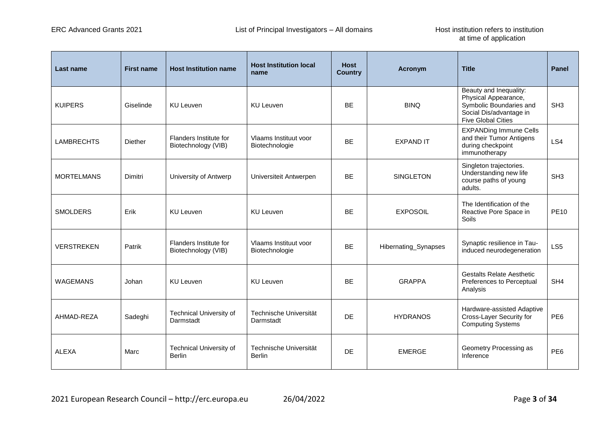| Last name         | <b>First name</b> | <b>Host Institution name</b>                    | <b>Host Institution local</b><br>name   | <b>Host</b><br><b>Country</b> | Acronym              | <b>Title</b>                                                                                                                      | <b>Panel</b>    |
|-------------------|-------------------|-------------------------------------------------|-----------------------------------------|-------------------------------|----------------------|-----------------------------------------------------------------------------------------------------------------------------------|-----------------|
| <b>KUIPERS</b>    | Giselinde         | <b>KU Leuven</b>                                | <b>KU Leuven</b>                        | <b>BE</b>                     | <b>BINQ</b>          | Beauty and Inequality:<br>Physical Appearance,<br>Symbolic Boundaries and<br>Social Dis/advantage in<br><b>Five Global Cities</b> | SH <sub>3</sub> |
| <b>LAMBRECHTS</b> | <b>Diether</b>    | Flanders Institute for<br>Biotechnology (VIB)   | Vlaams Instituut voor<br>Biotechnologie | <b>BF</b>                     | <b>EXPAND IT</b>     | <b>EXPANDing Immune Cells</b><br>and their Tumor Antigens<br>during checkpoint<br>immunotherapy                                   | LS4             |
| <b>MORTELMANS</b> | Dimitri           | University of Antwerp                           | Universiteit Antwerpen                  | <b>BE</b>                     | <b>SINGLETON</b>     | Singleton trajectories.<br>Understanding new life<br>course paths of young<br>adults.                                             | SH <sub>3</sub> |
| <b>SMOLDERS</b>   | Erik              | <b>KU Leuven</b>                                | <b>KU Leuven</b>                        | <b>BF</b>                     | <b>EXPOSOIL</b>      | The Identification of the<br>Reactive Pore Space in<br>Soils                                                                      | <b>PE10</b>     |
| <b>VERSTREKEN</b> | Patrik            | Flanders Institute for<br>Biotechnology (VIB)   | Vlaams Instituut voor<br>Biotechnologie | <b>BE</b>                     | Hibernating_Synapses | Synaptic resilience in Tau-<br>induced neurodegeneration                                                                          | LS <sub>5</sub> |
| <b>WAGEMANS</b>   | Johan             | <b>KU Leuven</b>                                | <b>KU Leuven</b>                        | <b>BF</b>                     | <b>GRAPPA</b>        | <b>Gestalts Relate Aesthetic</b><br>Preferences to Perceptual<br>Analysis                                                         | SH <sub>4</sub> |
| AHMAD-REZA        | Sadeghi           | Technical University of<br>Darmstadt            | Technische Universität<br>Darmstadt     | <b>DE</b>                     | <b>HYDRANOS</b>      | Hardware-assisted Adaptive<br>Cross-Layer Security for<br><b>Computing Systems</b>                                                | PE <sub>6</sub> |
| ALEXA             | Marc              | <b>Technical University of</b><br><b>Berlin</b> | Technische Universität<br><b>Berlin</b> | <b>DE</b>                     | <b>EMERGE</b>        | Geometry Processing as<br>Inference                                                                                               | PE <sub>6</sub> |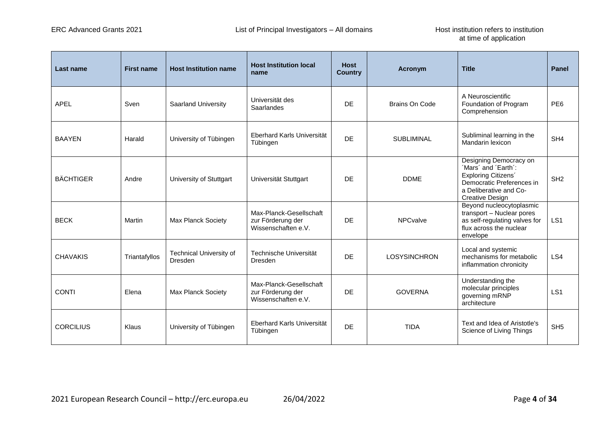| Last name        | <b>First name</b> | <b>Host Institution name</b>       | <b>Host Institution local</b><br>name                               | <b>Host</b><br><b>Country</b> | Acronym               | <b>Title</b>                                                                                                                                          | <b>Panel</b>    |
|------------------|-------------------|------------------------------------|---------------------------------------------------------------------|-------------------------------|-----------------------|-------------------------------------------------------------------------------------------------------------------------------------------------------|-----------------|
| <b>APEL</b>      | Sven              | Saarland University                | Universität des<br>Saarlandes                                       | <b>DE</b>                     | <b>Brains On Code</b> | A Neuroscientific<br>Foundation of Program<br>Comprehension                                                                                           | PE <sub>6</sub> |
| <b>BAAYEN</b>    | Harald            | University of Tübingen             | <b>Eberhard Karls Universität</b><br>Tübingen                       | DF.                           | <b>SUBLIMINAL</b>     | Subliminal learning in the<br>Mandarin lexicon                                                                                                        | SH <sub>4</sub> |
| <b>BÄCHTIGER</b> | Andre             | University of Stuttgart            | Universität Stuttgart                                               | <b>DE</b>                     | <b>DDME</b>           | Designing Democracy on<br>'Mars' and 'Earth':<br>Exploring Citizens'<br>Democratic Preferences in<br>a Deliberative and Co-<br><b>Creative Design</b> | SH <sub>2</sub> |
| <b>BECK</b>      | Martin            | Max Planck Society                 | Max-Planck-Gesellschaft<br>zur Förderung der<br>Wissenschaften e.V. | DE.                           | <b>NPCvalve</b>       | Beyond nucleocytoplasmic<br>transport - Nuclear pores<br>as self-regulating valves for<br>flux across the nuclear<br>envelope                         | LS <sub>1</sub> |
| <b>CHAVAKIS</b>  | Triantafyllos     | Technical University of<br>Dresden | Technische Universität<br><b>Dresden</b>                            | <b>DE</b>                     | <b>LOSYSINCHRON</b>   | Local and systemic<br>mechanisms for metabolic<br>inflammation chronicity                                                                             | LS4             |
| <b>CONTI</b>     | Elena             | Max Planck Society                 | Max-Planck-Gesellschaft<br>zur Förderung der<br>Wissenschaften e.V. | <b>DE</b>                     | <b>GOVERNA</b>        | Understanding the<br>molecular principles<br>governing mRNP<br>architecture                                                                           | LS <sub>1</sub> |
| <b>CORCILIUS</b> | Klaus             | University of Tübingen             | <b>Eberhard Karls Universität</b><br>Tübingen                       | <b>DE</b>                     | <b>TIDA</b>           | Text and Idea of Aristotle's<br>Science of Living Things                                                                                              | SH <sub>5</sub> |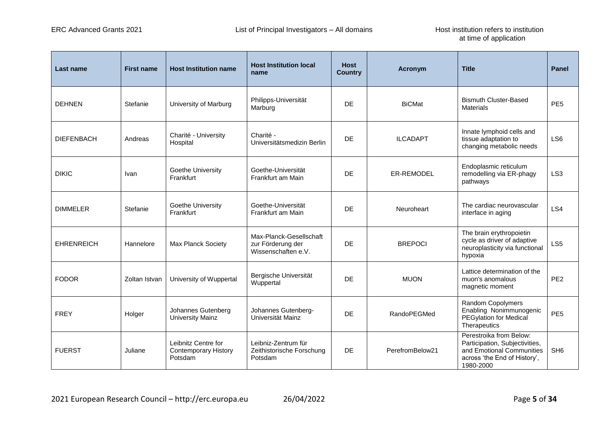| Last name         | <b>First name</b> | <b>Host Institution name</b>                                  | <b>Host Institution local</b><br>name                               | <b>Host</b><br><b>Country</b> | Acronym         | <b>Title</b>                                                                                                                        | <b>Panel</b>    |
|-------------------|-------------------|---------------------------------------------------------------|---------------------------------------------------------------------|-------------------------------|-----------------|-------------------------------------------------------------------------------------------------------------------------------------|-----------------|
| <b>DEHNEN</b>     | Stefanie          | University of Marburg                                         | Philipps-Universität<br>Marburg                                     | DE                            | <b>BiCMat</b>   | <b>Bismuth Cluster-Based</b><br><b>Materials</b>                                                                                    | PE <sub>5</sub> |
| <b>DIEFENBACH</b> | Andreas           | Charité - University<br>Hospital                              | Charité -<br>Universitätsmedizin Berlin                             | DF.                           | <b>ILCADAPT</b> | Innate lymphoid cells and<br>tissue adaptation to<br>changing metabolic needs                                                       | LS <sub>6</sub> |
| <b>DIKIC</b>      | Ivan              | Goethe University<br>Frankfurt                                | Goethe-Universität<br>Frankfurt am Main                             | DE                            | ER-REMODEL      | Endoplasmic reticulum<br>remodelling via ER-phagy<br>pathways                                                                       | LS <sub>3</sub> |
| <b>DIMMELER</b>   | Stefanie          | Goethe University<br>Frankfurt                                | Goethe-Universität<br>Frankfurt am Main                             | DF.                           | Neuroheart      | The cardiac neurovascular<br>interface in aging                                                                                     | LS4             |
| <b>EHRENREICH</b> | Hannelore         | <b>Max Planck Society</b>                                     | Max-Planck-Gesellschaft<br>zur Förderung der<br>Wissenschaften e.V. | DF                            | <b>BREPOCI</b>  | The brain erythropoietin<br>cycle as driver of adaptive<br>neuroplasticity via functional<br>hypoxia                                | LS <sub>5</sub> |
| <b>FODOR</b>      | Zoltan Istvan     | University of Wuppertal                                       | Bergische Universität<br>Wuppertal                                  | DF                            | <b>MUON</b>     | Lattice determination of the<br>muon's anomalous<br>magnetic moment                                                                 | PE <sub>2</sub> |
| <b>FREY</b>       | Holger            | Johannes Gutenberg<br><b>University Mainz</b>                 | Johannes Gutenberg-<br>Universität Mainz                            | DE                            | RandoPEGMed     | Random Copolymers<br>Enabling Nonimmunogenic<br><b>PEGylation for Medical</b><br>Therapeutics                                       | PE <sub>5</sub> |
| <b>FUERST</b>     | Juliane           | Leibnitz Centre for<br><b>Contemporary History</b><br>Potsdam | Leibniz-Zentrum für<br>Zeithistorische Forschung<br>Potsdam         | <b>DE</b>                     | PerefromBelow21 | Perestroika from Below:<br>Participation, Subjectivities,<br>and Emotional Communities<br>across 'the End of History',<br>1980-2000 | SH <sub>6</sub> |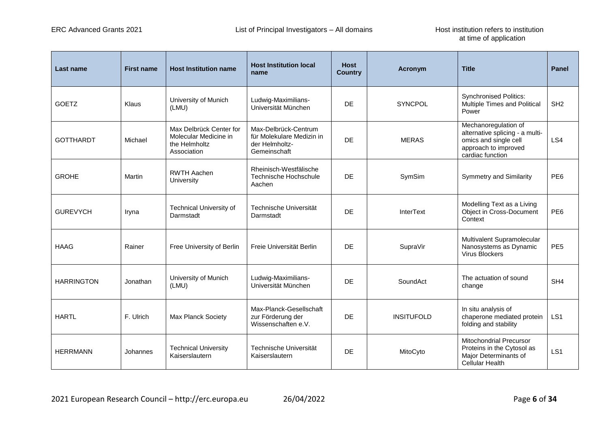| Last name         | <b>First name</b> | <b>Host Institution name</b>                                                     | <b>Host Institution local</b><br>name                                               | <b>Host</b><br><b>Country</b> | Acronym           | <b>Title</b>                                                                                                                 | <b>Panel</b>    |
|-------------------|-------------------|----------------------------------------------------------------------------------|-------------------------------------------------------------------------------------|-------------------------------|-------------------|------------------------------------------------------------------------------------------------------------------------------|-----------------|
| <b>GOETZ</b>      | Klaus             | University of Munich<br>(LMU)                                                    | Ludwig-Maximilians-<br>Universität München                                          | DE                            | <b>SYNCPOL</b>    | <b>Synchronised Politics:</b><br>Multiple Times and Political<br>Power                                                       | SH <sub>2</sub> |
| <b>GOTTHARDT</b>  | Michael           | Max Delbrück Center for<br>Molecular Medicine in<br>the Helmholtz<br>Association | Max-Delbrück-Centrum<br>für Molekulare Medizin in<br>der Helmholtz-<br>Gemeinschaft | DE.                           | <b>MERAS</b>      | Mechanoregulation of<br>alternative splicing - a multi-<br>omics and single cell<br>approach to improved<br>cardiac function | LS4             |
| <b>GROHE</b>      | Martin            | <b>RWTH Aachen</b><br>University                                                 | Rheinisch-Westfälische<br>Technische Hochschule<br>Aachen                           | DE                            | SymSim            | <b>Symmetry and Similarity</b>                                                                                               | PE <sub>6</sub> |
| <b>GUREVYCH</b>   | Iryna             | <b>Technical University of</b><br>Darmstadt                                      | Technische Universität<br>Darmstadt                                                 | DF                            | <b>InterText</b>  | Modelling Text as a Living<br>Object in Cross-Document<br>Context                                                            | PE <sub>6</sub> |
| <b>HAAG</b>       | Rainer            | Free University of Berlin                                                        | Freie Universität Berlin                                                            | <b>DE</b>                     | SupraVir          | Multivalent Supramolecular<br>Nanosystems as Dynamic<br><b>Virus Blockers</b>                                                | PE <sub>5</sub> |
| <b>HARRINGTON</b> | Jonathan          | University of Munich<br>(LMU)                                                    | Ludwig-Maximilians-<br>Universität München                                          | DE                            | SoundAct          | The actuation of sound<br>change                                                                                             | SH <sub>4</sub> |
| <b>HARTL</b>      | F. Ulrich         | <b>Max Planck Society</b>                                                        | Max-Planck-Gesellschaft<br>zur Förderung der<br>Wissenschaften e.V.                 | DE                            | <b>INSITUFOLD</b> | In situ analysis of<br>chaperone mediated protein<br>folding and stability                                                   | LS <sub>1</sub> |
| <b>HERRMANN</b>   | Johannes          | <b>Technical University</b><br>Kaiserslautern                                    | Technische Universität<br>Kaiserslautern                                            | DE                            | MitoCyto          | <b>Mitochondrial Precursor</b><br>Proteins in the Cytosol as<br>Major Determinants of<br><b>Cellular Health</b>              | LS <sub>1</sub> |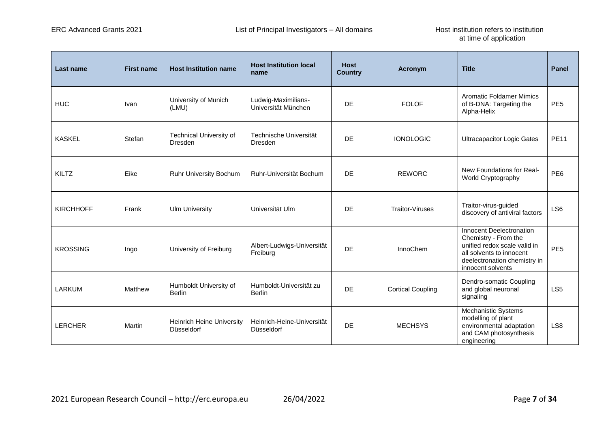| <b>Last name</b> | <b>First name</b> | <b>Host Institution name</b>                   | <b>Host Institution local</b><br>name      | <b>Host</b><br><b>Country</b> | <b>Acronym</b>           | <b>Title</b>                                                                                                                                                      | <b>Panel</b>    |
|------------------|-------------------|------------------------------------------------|--------------------------------------------|-------------------------------|--------------------------|-------------------------------------------------------------------------------------------------------------------------------------------------------------------|-----------------|
| <b>HUC</b>       | Ivan              | University of Munich<br>(LMU)                  | Ludwig-Maximilians-<br>Universität München | <b>DE</b>                     | <b>FOLOF</b>             | <b>Aromatic Foldamer Mimics</b><br>of B-DNA: Targeting the<br>Alpha-Helix                                                                                         | PE <sub>5</sub> |
| <b>KASKEL</b>    | Stefan            | Technical University of<br>Dresden             | Technische Universität<br>Dresden          | <b>DE</b>                     | <b>IONOLOGIC</b>         | <b>Ultracapacitor Logic Gates</b>                                                                                                                                 | <b>PE11</b>     |
| KILTZ            | Eike              | Ruhr University Bochum                         | Ruhr-Universität Bochum                    | <b>DE</b>                     | <b>REWORC</b>            | New Foundations for Real-<br>World Cryptography                                                                                                                   | PE <sub>6</sub> |
| <b>KIRCHHOFF</b> | Frank             | <b>Ulm University</b>                          | Universität Ulm                            | <b>DF</b>                     | <b>Traitor-Viruses</b>   | Traitor-virus-guided<br>discovery of antiviral factors                                                                                                            | LS6             |
| <b>KROSSING</b>  | Ingo              | University of Freiburg                         | Albert-Ludwigs-Universität<br>Freiburg     | <b>DE</b>                     | InnoChem                 | Innocent Deelectronation<br>Chemistry - From the<br>unified redox scale valid in<br>all solvents to innocent<br>deelectronation chemistry in<br>innocent solvents | PE <sub>5</sub> |
| LARKUM           | Matthew           | Humboldt University of<br><b>Berlin</b>        | Humboldt-Universität zu<br><b>Berlin</b>   | <b>DE</b>                     | <b>Cortical Coupling</b> | Dendro-somatic Coupling<br>and global neuronal<br>signaling                                                                                                       | LS <sub>5</sub> |
| <b>LERCHER</b>   | Martin            | <b>Heinrich Heine University</b><br>Düsseldorf | Heinrich-Heine-Universität<br>Düsseldorf   | <b>DE</b>                     | <b>MECHSYS</b>           | Mechanistic Systems<br>modelling of plant<br>environmental adaptation<br>and CAM photosynthesis<br>engineering                                                    | LS8             |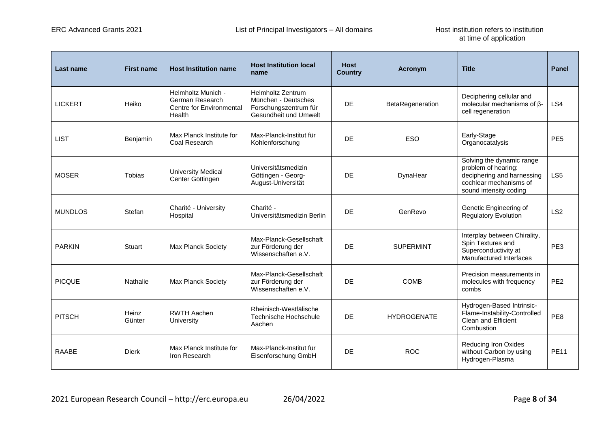| Last name      | <b>First name</b> | <b>Host Institution name</b>                                                       | <b>Host Institution local</b><br>name                                                             | <b>Host</b><br><b>Country</b> | <b>Acronym</b>     | <b>Title</b>                                                                                                                       | <b>Panel</b>    |
|----------------|-------------------|------------------------------------------------------------------------------------|---------------------------------------------------------------------------------------------------|-------------------------------|--------------------|------------------------------------------------------------------------------------------------------------------------------------|-----------------|
| <b>LICKERT</b> | Heiko             | Helmholtz Munich -<br>German Research<br><b>Centre for Environmental</b><br>Health | <b>Helmholtz Zentrum</b><br>München - Deutsches<br>Forschungszentrum für<br>Gesundheit und Umwelt | <b>DF</b>                     | BetaRegeneration   | Deciphering cellular and<br>molecular mechanisms of $\beta$ -<br>cell regeneration                                                 | LS4             |
| <b>LIST</b>    | Benjamin          | Max Planck Institute for<br>Coal Research                                          | Max-Planck-Institut für<br>Kohlenforschung                                                        | <b>DE</b>                     | <b>ESO</b>         | Early-Stage<br>Organocatalysis                                                                                                     | PE <sub>5</sub> |
| <b>MOSER</b>   | <b>Tobias</b>     | <b>University Medical</b><br>Center Göttingen                                      | Universitätsmedizin<br>Göttingen - Georg-<br>August-Universität                                   | <b>DE</b>                     | DynaHear           | Solving the dynamic range<br>problem of hearing:<br>deciphering and harnessing<br>cochlear mechanisms of<br>sound intensity coding | LS <sub>5</sub> |
| <b>MUNDLOS</b> | Stefan            | Charité - University<br>Hospital                                                   | Charité -<br>Universitätsmedizin Berlin                                                           | <b>DE</b>                     | GenRevo            | Genetic Engineering of<br><b>Regulatory Evolution</b>                                                                              | LS <sub>2</sub> |
| <b>PARKIN</b>  | Stuart            | <b>Max Planck Society</b>                                                          | Max-Planck-Gesellschaft<br>zur Förderung der<br>Wissenschaften e.V.                               | <b>DE</b>                     | <b>SUPERMINT</b>   | Interplay between Chirality,<br>Spin Textures and<br>Superconductivity at<br>Manufactured Interfaces                               | PE <sub>3</sub> |
| <b>PICQUE</b>  | Nathalie          | <b>Max Planck Society</b>                                                          | Max-Planck-Gesellschaft<br>zur Förderung der<br>Wissenschaften e.V.                               | <b>DE</b>                     | <b>COMB</b>        | Precision measurements in<br>molecules with frequency<br>combs                                                                     | PE <sub>2</sub> |
| <b>PITSCH</b>  | Heinz<br>Günter   | <b>RWTH Aachen</b><br>University                                                   | Rheinisch-Westfälische<br>Technische Hochschule<br>Aachen                                         | DE.                           | <b>HYDROGENATE</b> | Hydrogen-Based Intrinsic-<br>Flame-Instability-Controlled<br><b>Clean and Efficient</b><br>Combustion                              | PE8             |
| <b>RAABE</b>   | <b>Dierk</b>      | Max Planck Institute for<br>Iron Research                                          | Max-Planck-Institut für<br>Eisenforschung GmbH                                                    | DE.                           | <b>ROC</b>         | <b>Reducing Iron Oxides</b><br>without Carbon by using<br>Hydrogen-Plasma                                                          | <b>PE11</b>     |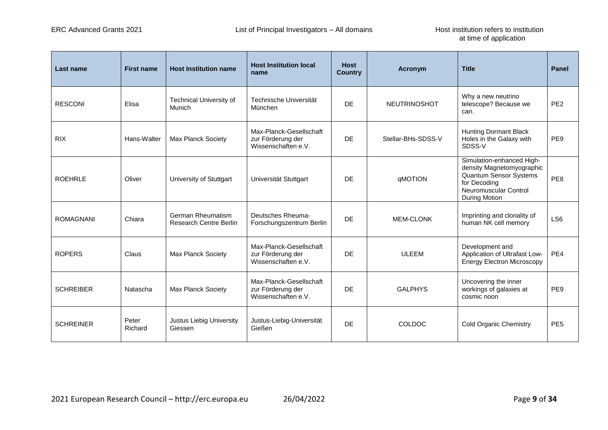| Last name        | <b>First name</b> | <b>Host Institution name</b>                | <b>Host Institution local</b><br>name                               | <b>Host</b><br><b>Country</b> | Acronym             | <b>Title</b>                                                                                                                                             | Panel           |
|------------------|-------------------|---------------------------------------------|---------------------------------------------------------------------|-------------------------------|---------------------|----------------------------------------------------------------------------------------------------------------------------------------------------------|-----------------|
| <b>RESCONI</b>   | Elisa             | <b>Technical University of</b><br>Munich    | Technische Universität<br>München                                   | <b>DE</b>                     | <b>NEUTRINOSHOT</b> | Why a new neutrino<br>telescope? Because we<br>can.                                                                                                      | PE <sub>2</sub> |
| <b>RIX</b>       | Hans-Walter       | Max Planck Society                          | Max-Planck-Gesellschaft<br>zur Förderung der<br>Wissenschaften e.V. | <b>DE</b>                     | Stellar-BHs-SDSS-V  | <b>Hunting Dormant Black</b><br>Holes in the Galaxy with<br>SDSS-V                                                                                       | PE <sub>9</sub> |
| <b>ROEHRLE</b>   | Oliver            | University of Stuttgart                     | Universität Stuttgart                                               | <b>DE</b>                     | qMOTION             | Simulation-enhanced High-<br>density Magnetomyographic<br><b>Quantum Sensor Systems</b><br>for Decoding<br>Neuromuscular Control<br><b>During Motion</b> | PE8             |
| <b>ROMAGNANI</b> | Chiara            | German Rheumatism<br>Research Centre Berlin | Deutsches Rheuma-<br>Forschungszentrum Berlin                       | <b>DF</b>                     | <b>MEM-CLONK</b>    | Imprinting and clonality of<br>human NK cell memory                                                                                                      | LS <sub>6</sub> |
| <b>ROPERS</b>    | Claus             | Max Planck Society                          | Max-Planck-Gesellschaft<br>zur Förderung der<br>Wissenschaften e.V. | <b>DE</b>                     | <b>ULEEM</b>        | Development and<br>Application of Ultrafast Low-<br><b>Energy Electron Microscopy</b>                                                                    | PE4             |
| <b>SCHREIBER</b> | Natascha          | Max Planck Society                          | Max-Planck-Gesellschaft<br>zur Förderung der<br>Wissenschaften e.V. | <b>DE</b>                     | <b>GALPHYS</b>      | Uncovering the inner<br>workings of galaxies at<br>cosmic noon                                                                                           | PE <sub>9</sub> |
| <b>SCHREINER</b> | Peter<br>Richard  | Justus Liebig University<br>Giessen         | Justus-Liebig-Universität<br>Gießen                                 | <b>DE</b>                     | <b>COLDOC</b>       | <b>Cold Organic Chemistry</b>                                                                                                                            | PE <sub>5</sub> |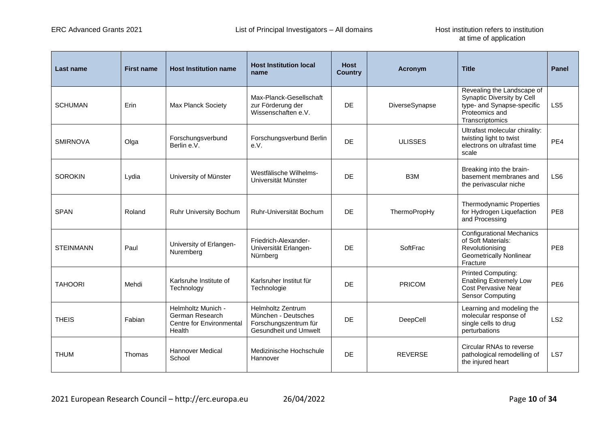| <b>Last name</b> | <b>First name</b> | <b>Host Institution name</b>                                                | <b>Host Institution local</b><br>name                                                             | <b>Host</b><br><b>Country</b> | Acronym          | <b>Title</b>                                                                                                                | Panel           |
|------------------|-------------------|-----------------------------------------------------------------------------|---------------------------------------------------------------------------------------------------|-------------------------------|------------------|-----------------------------------------------------------------------------------------------------------------------------|-----------------|
| <b>SCHUMAN</b>   | Erin              | <b>Max Planck Society</b>                                                   | Max-Planck-Gesellschaft<br>zur Förderung der<br>Wissenschaften e.V.                               | DE.                           | DiverseSynapse   | Revealing the Landscape of<br>Synaptic Diversity by Cell<br>type- and Synapse-specific<br>Proteomics and<br>Transcriptomics | LS <sub>5</sub> |
| <b>SMIRNOVA</b>  | Olga              | Forschungsverbund<br>Berlin e.V.                                            | Forschungsverbund Berlin<br>e.V.                                                                  | <b>DE</b>                     | <b>ULISSES</b>   | Ultrafast molecular chirality:<br>twisting light to twist<br>electrons on ultrafast time<br>scale                           | PE4             |
| <b>SOROKIN</b>   | Lydia             | University of Münster                                                       | Westfälische Wilhelms-<br>Universität Münster                                                     | <b>DE</b>                     | B <sub>3</sub> M | Breaking into the brain-<br>basement membranes and<br>the perivascular niche                                                | LS <sub>6</sub> |
| <b>SPAN</b>      | Roland            | Ruhr University Bochum                                                      | Ruhr-Universität Bochum                                                                           | DE.                           | ThermoPropHy     | <b>Thermodynamic Properties</b><br>for Hydrogen Liquefaction<br>and Processing                                              | PE8             |
| <b>STEINMANN</b> | Paul              | University of Erlangen-<br>Nuremberg                                        | Friedrich-Alexander-<br>Universität Erlangen-<br>Nürnberg                                         | <b>DF</b>                     | SoftFrac         | <b>Configurational Mechanics</b><br>of Soft Materials:<br>Revolutionising<br><b>Geometrically Nonlinear</b><br>Fracture     | PF <sub>8</sub> |
| <b>TAHOORI</b>   | Mehdi             | Karlsruhe Institute of<br>Technology                                        | Karlsruher Institut für<br>Technologie                                                            | <b>DE</b>                     | PRICOM           | <b>Printed Computing:</b><br><b>Enabling Extremely Low</b><br><b>Cost Pervasive Near</b><br><b>Sensor Computing</b>         | PE <sub>6</sub> |
| <b>THEIS</b>     | Fabian            | Helmholtz Munich -<br>German Research<br>Centre for Environmental<br>Health | <b>Helmholtz Zentrum</b><br>München - Deutsches<br>Forschungszentrum für<br>Gesundheit und Umwelt | <b>DE</b>                     | DeepCell         | Learning and modeling the<br>molecular response of<br>single cells to drug<br>perturbations                                 | LS <sub>2</sub> |
| <b>THUM</b>      | <b>Thomas</b>     | <b>Hannover Medical</b><br>School                                           | Medizinische Hochschule<br>Hannover                                                               | <b>DE</b>                     | <b>REVERSE</b>   | Circular RNAs to reverse<br>pathological remodelling of<br>the injured heart                                                | LS7             |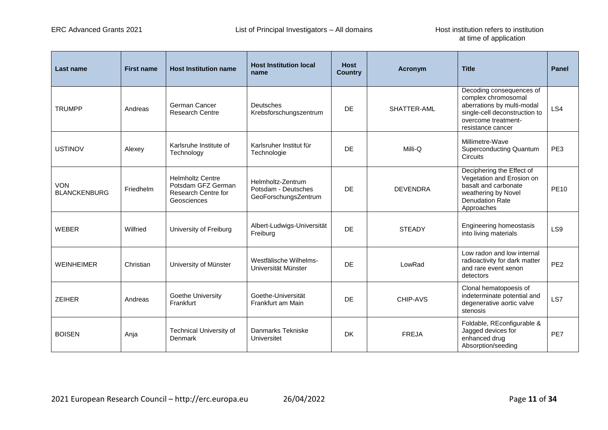| Last name                         | <b>First name</b> | <b>Host Institution name</b>                                                        | <b>Host Institution local</b><br>name                            | <b>Host</b><br><b>Country</b> | <b>Acronym</b>  | <b>Title</b>                                                                                                                                               | <b>Panel</b>    |
|-----------------------------------|-------------------|-------------------------------------------------------------------------------------|------------------------------------------------------------------|-------------------------------|-----------------|------------------------------------------------------------------------------------------------------------------------------------------------------------|-----------------|
| <b>TRUMPP</b>                     | Andreas           | German Cancer<br><b>Research Centre</b>                                             | Deutsches<br>Krebsforschungszentrum                              | <b>DE</b>                     | SHATTER-AML     | Decoding consequences of<br>complex chromosomal<br>aberrations by multi-modal<br>single-cell deconstruction to<br>overcome treatment-<br>resistance cancer | LS4             |
| <b>USTINOV</b>                    | Alexey            | Karlsruhe Institute of<br>Technology                                                | Karlsruher Institut für<br>Technologie                           | <b>DE</b>                     | Milli-Q         | Millimetre-Wave<br><b>Superconducting Quantum</b><br><b>Circuits</b>                                                                                       | PE3             |
| <b>VON</b><br><b>BLANCKENBURG</b> | Friedhelm         | <b>Helmholtz Centre</b><br>Potsdam GFZ German<br>Research Centre for<br>Geosciences | Helmholtz-Zentrum<br>Potsdam - Deutsches<br>GeoForschungsZentrum | <b>DE</b>                     | <b>DEVENDRA</b> | Deciphering the Effect of<br>Vegetation and Erosion on<br>basalt and carbonate<br>weathering by Novel<br><b>Denudation Rate</b><br>Approaches              | <b>PE10</b>     |
| <b>WEBER</b>                      | Wilfried          | University of Freiburg                                                              | Albert-Ludwigs-Universität<br>Freiburg                           | DF                            | <b>STEADY</b>   | Engineering homeostasis<br>into living materials                                                                                                           | LS <sub>9</sub> |
| <b>WEINHEIMER</b>                 | Christian         | University of Münster                                                               | Westfälische Wilhelms-<br>Universität Münster                    | DE                            | LowRad          | Low radon and low internal<br>radioactivity for dark matter<br>and rare event xenon<br>detectors                                                           | PE <sub>2</sub> |
| <b>ZEIHER</b>                     | Andreas           | Goethe University<br>Frankfurt                                                      | Goethe-Universität<br>Frankfurt am Main                          | <b>DE</b>                     | CHIP-AVS        | Clonal hematopoesis of<br>indeterminate potential and<br>degenerative aortic valve<br>stenosis                                                             | LS7             |
| <b>BOISEN</b>                     | Anja              | Technical University of<br>Denmark                                                  | Danmarks Tekniske<br>Universitet                                 | <b>DK</b>                     | <b>FREJA</b>    | Foldable, REconfigurable &<br>Jagged devices for<br>enhanced drug<br>Absorption/seeding                                                                    | PE7             |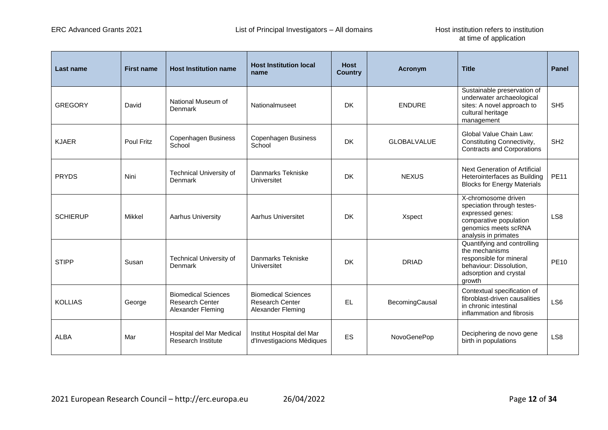| <b>Last name</b> | <b>First name</b> | <b>Host Institution name</b>                                              | <b>Host Institution local</b><br>name                                     | <b>Host</b><br><b>Country</b> | Acronym            | <b>Title</b>                                                                                                                                    | <b>Panel</b>    |
|------------------|-------------------|---------------------------------------------------------------------------|---------------------------------------------------------------------------|-------------------------------|--------------------|-------------------------------------------------------------------------------------------------------------------------------------------------|-----------------|
| <b>GREGORY</b>   | David             | National Museum of<br>Denmark                                             | Nationalmuseet                                                            | DK                            | <b>ENDURE</b>      | Sustainable preservation of<br>underwater archaeological<br>sites: A novel approach to<br>cultural heritage<br>management                       | SH <sub>5</sub> |
| <b>KJAER</b>     | Poul Fritz        | Copenhagen Business<br>School                                             | Copenhagen Business<br>School                                             | <b>DK</b>                     | <b>GLOBALVALUE</b> | Global Value Chain Law:<br>Constituting Connectivity,<br><b>Contracts and Corporations</b>                                                      | SH <sub>2</sub> |
| <b>PRYDS</b>     | Nini              | <b>Technical University of</b><br>Denmark                                 | Danmarks Tekniske<br>Universitet                                          | <b>DK</b>                     | <b>NEXUS</b>       | Next Generation of Artificial<br>Heterointerfaces as Building<br><b>Blocks for Energy Materials</b>                                             | <b>PE11</b>     |
| <b>SCHIERUP</b>  | Mikkel            | <b>Aarhus University</b>                                                  | Aarhus Universitet                                                        | <b>DK</b>                     | Xspect             | X-chromosome driven<br>speciation through testes-<br>expressed genes:<br>comparative population<br>genomics meets scRNA<br>analysis in primates | LS <sub>8</sub> |
| <b>STIPP</b>     | Susan             | <b>Technical University of</b><br>Denmark                                 | Danmarks Tekniske<br>Universitet                                          | <b>DK</b>                     | <b>DRIAD</b>       | Quantifying and controlling<br>the mechanisms<br>responsible for mineral<br>behaviour: Dissolution,<br>adsorption and crystal<br>arowth         | <b>PE10</b>     |
| <b>KOLLIAS</b>   | George            | <b>Biomedical Sciences</b><br><b>Research Center</b><br>Alexander Fleming | <b>Biomedical Sciences</b><br><b>Research Center</b><br>Alexander Fleming | <b>EL</b>                     | BecomingCausal     | Contextual specification of<br>fibroblast-driven causalities<br>in chronic intestinal<br>inflammation and fibrosis                              | LS <sub>6</sub> |
| <b>ALBA</b>      | Mar               | Hospital del Mar Medical<br>Research Institute                            | Institut Hospital del Mar<br>d'Investigacions Mèdiques                    | ES                            | NovoGenePop        | Deciphering de novo gene<br>birth in populations                                                                                                | LS <sub>8</sub> |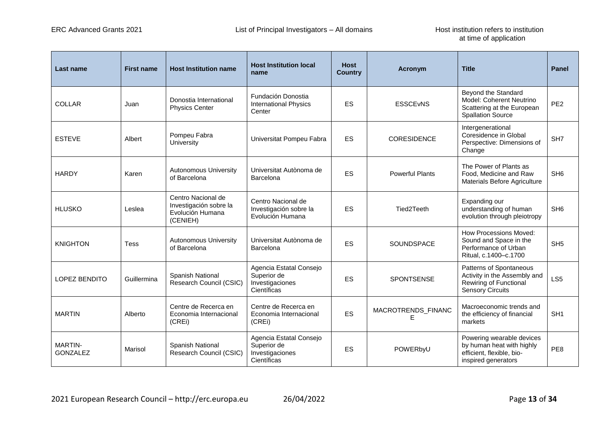| Last name                         | <b>First name</b> | <b>Host Institution name</b>                                                 | <b>Host Institution local</b><br>name                                    | <b>Host</b><br><b>Country</b> | <b>Acronym</b>          | <b>Title</b>                                                                                                 | <b>Panel</b>    |
|-----------------------------------|-------------------|------------------------------------------------------------------------------|--------------------------------------------------------------------------|-------------------------------|-------------------------|--------------------------------------------------------------------------------------------------------------|-----------------|
| <b>COLLAR</b>                     | Juan              | Donostia International<br><b>Physics Center</b>                              | Fundación Donostia<br><b>International Physics</b><br>Center             | <b>ES</b>                     | <b>ESSCEVNS</b>         | Beyond the Standard<br>Model: Coherent Neutrino<br>Scattering at the European<br><b>Spallation Source</b>    | PE <sub>2</sub> |
| <b>ESTEVE</b>                     | Albert            | Pompeu Fabra<br>University                                                   | Universitat Pompeu Fabra                                                 | <b>ES</b>                     | <b>CORESIDENCE</b>      | Intergenerational<br>Coresidence in Global<br>Perspective: Dimensions of<br>Change                           | SH <sub>7</sub> |
| <b>HARDY</b>                      | Karen             | <b>Autonomous University</b><br>of Barcelona                                 | Universitat Autònoma de<br>Barcelona                                     | <b>ES</b>                     | <b>Powerful Plants</b>  | The Power of Plants as<br>Food, Medicine and Raw<br>Materials Before Agriculture                             | SH <sub>6</sub> |
| <b>HLUSKO</b>                     | Leslea            | Centro Nacional de<br>Investigación sobre la<br>Evolución Humana<br>(CENIEH) | Centro Nacional de<br>Investigación sobre la<br>Evolución Humana         | ES                            | Tied2Teeth              | Expanding our<br>understanding of human<br>evolution through pleiotropy                                      | SH <sub>6</sub> |
| <b>KNIGHTON</b>                   | <b>Tess</b>       | <b>Autonomous University</b><br>of Barcelona                                 | Universitat Autònoma de<br>Barcelona                                     | ES                            | SOUNDSPACE              | <b>How Processions Moved:</b><br>Sound and Space in the<br>Performance of Urban<br>Ritual, c.1400-c.1700     | SH <sub>5</sub> |
| <b>LOPEZ BENDITO</b>              | Guillermina       | Spanish National<br>Research Council (CSIC)                                  | Agencia Estatal Consejo<br>Superior de<br>Investigaciones<br>Científicas | <b>ES</b>                     | SPONTSENSE              | Patterns of Spontaneous<br>Activity in the Assembly and<br>Rewiring of Functional<br><b>Sensory Circuits</b> | LS <sub>5</sub> |
| <b>MARTIN</b>                     | Alberto           | Centre de Recerca en<br>Economia Internacional<br>(CREI)                     | Centre de Recerca en<br>Economia Internacional<br>(CREI)                 | <b>ES</b>                     | MACROTRENDS_FINANC<br>Е | Macroeconomic trends and<br>the efficiency of financial<br>markets                                           | SH <sub>1</sub> |
| <b>MARTIN-</b><br><b>GONZALEZ</b> | Marisol           | Spanish National<br>Research Council (CSIC)                                  | Agencia Estatal Consejo<br>Superior de<br>Investigaciones<br>Científicas | ES                            | POWERbyU                | Powering wearable devices<br>by human heat with highly<br>efficient, flexible, bio-<br>inspired generators   | PE8             |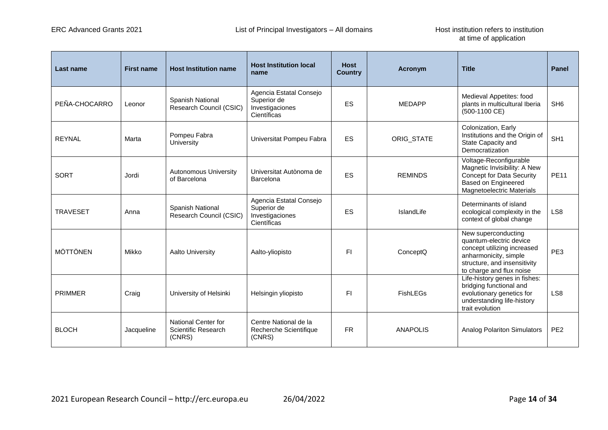| <b>Last name</b> | <b>First name</b> | <b>Host Institution name</b>                         | <b>Host Institution local</b><br>name                                    | <b>Host</b><br><b>Country</b> | Acronym         | <b>Title</b>                                                                                                                                                       | <b>Panel</b>    |
|------------------|-------------------|------------------------------------------------------|--------------------------------------------------------------------------|-------------------------------|-----------------|--------------------------------------------------------------------------------------------------------------------------------------------------------------------|-----------------|
| PEÑA-CHOCARRO    | Leonor            | Spanish National<br>Research Council (CSIC)          | Agencia Estatal Consejo<br>Superior de<br>Investigaciones<br>Científicas | ES                            | <b>MEDAPP</b>   | Medieval Appetites: food<br>plants in multicultural Iberia<br>(500-1100 CE)                                                                                        | SH <sub>6</sub> |
| <b>REYNAL</b>    | Marta             | Pompeu Fabra<br>University                           | Universitat Pompeu Fabra                                                 | ES                            | ORIG_STATE      | Colonization, Early<br>Institutions and the Origin of<br>State Capacity and<br>Democratization                                                                     | SH <sub>1</sub> |
| <b>SORT</b>      | Jordi             | <b>Autonomous University</b><br>of Barcelona         | Universitat Autònoma de<br>Barcelona                                     | ES                            | <b>REMINDS</b>  | Voltage-Reconfigurable<br>Magnetic Invisibility: A New<br><b>Concept for Data Security</b><br>Based on Engineered<br>Magnetoelectric Materials                     | <b>PE11</b>     |
| <b>TRAVESET</b>  | Anna              | Spanish National<br>Research Council (CSIC)          | Agencia Estatal Consejo<br>Superior de<br>Investigaciones<br>Científicas | ES                            | IslandLife      | Determinants of island<br>ecological complexity in the<br>context of global change                                                                                 | LS <sub>8</sub> |
| <b>MÖTTÖNEN</b>  | Mikko             | Aalto University                                     | Aalto-yliopisto                                                          | FΙ                            | ConceptQ        | New superconducting<br>quantum-electric device<br>concept utilizing increased<br>anharmonicity, simple<br>structure, and insensitivity<br>to charge and flux noise | PE <sub>3</sub> |
| <b>PRIMMER</b>   | Craig             | University of Helsinki                               | Helsingin yliopisto                                                      | FΙ                            | <b>FishLEGs</b> | Life-history genes in fishes:<br>bridging functional and<br>evolutionary genetics for<br>understanding life-history<br>trait evolution                             | LS <sub>8</sub> |
| <b>BLOCH</b>     | Jacqueline        | National Center for<br>Scientific Research<br>(CNRS) | Centre National de la<br>Recherche Scientifique<br>(CNRS)                | <b>FR</b>                     | <b>ANAPOLIS</b> | <b>Analog Polariton Simulators</b>                                                                                                                                 | PE <sub>2</sub> |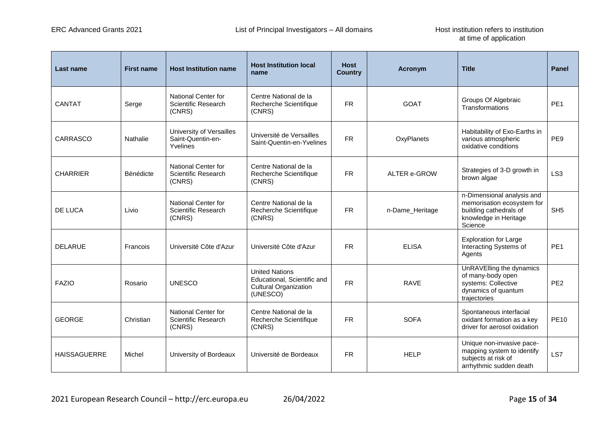| Last name           | <b>First name</b> | <b>Host Institution name</b>                              | <b>Host Institution local</b><br>name                                                            | <b>Host</b><br><b>Country</b> | Acronym             | <b>Title</b>                                                                                                           | <b>Panel</b>    |
|---------------------|-------------------|-----------------------------------------------------------|--------------------------------------------------------------------------------------------------|-------------------------------|---------------------|------------------------------------------------------------------------------------------------------------------------|-----------------|
| CANTAT              | Serge             | National Center for<br>Scientific Research<br>(CNRS)      | Centre National de la<br>Recherche Scientifique<br>(CNRS)                                        | <b>FR</b>                     | <b>GOAT</b>         | Groups Of Algebraic<br>Transformations                                                                                 | PE <sub>1</sub> |
| <b>CARRASCO</b>     | Nathalie          | University of Versailles<br>Saint-Quentin-en-<br>Yvelines | Université de Versailles<br>Saint-Quentin-en-Yvelines                                            | <b>FR</b>                     | OxyPlanets          | Habitability of Exo-Earths in<br>various atmospheric<br>oxidative conditions                                           | PE9             |
| <b>CHARRIER</b>     | Bénédicte         | National Center for<br>Scientific Research<br>(CNRS)      | Centre National de la<br>Recherche Scientifique<br>(CNRS)                                        | <b>FR</b>                     | <b>ALTER e-GROW</b> | Strategies of 3-D growth in<br>brown algae                                                                             | LS <sub>3</sub> |
| DE LUCA             | Livio             | National Center for<br>Scientific Research<br>(CNRS)      | Centre National de la<br>Recherche Scientifique<br>(CNRS)                                        | <b>FR</b>                     | n-Dame_Heritage     | n-Dimensional analysis and<br>memorisation ecosystem for<br>building cathedrals of<br>knowledge in Heritage<br>Science | SH <sub>5</sub> |
| <b>DELARUE</b>      | Francois          | Université Côte d'Azur                                    | Université Côte d'Azur                                                                           | <b>FR</b>                     | <b>ELISA</b>        | <b>Exploration for Large</b><br>Interacting Systems of<br>Agents                                                       | PE <sub>1</sub> |
| <b>FAZIO</b>        | Rosario           | <b>UNESCO</b>                                             | <b>United Nations</b><br>Educational, Scientific and<br><b>Cultural Organization</b><br>(UNESCO) | <b>FR</b>                     | <b>RAVE</b>         | UnRAVElling the dynamics<br>of many-body open<br>systems: Collective<br>dynamics of quantum<br>trajectories            | PE <sub>2</sub> |
| <b>GEORGE</b>       | Christian         | National Center for<br>Scientific Research<br>(CNRS)      | Centre National de la<br>Recherche Scientifique<br>(CNRS)                                        | <b>FR</b>                     | <b>SOFA</b>         | Spontaneous interfacial<br>oxidant formation as a key<br>driver for aerosol oxidation                                  | <b>PE10</b>     |
| <b>HAISSAGUERRE</b> | Michel            | University of Bordeaux                                    | Université de Bordeaux                                                                           | <b>FR</b>                     | <b>HELP</b>         | Unique non-invasive pace-<br>mapping system to identify<br>subjects at risk of<br>arrhythmic sudden death              | LS7             |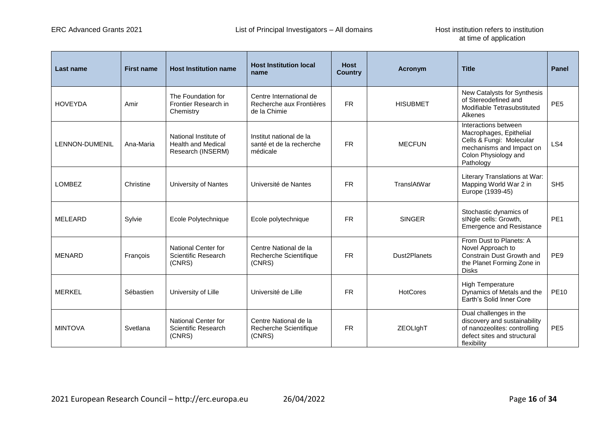| Last name             | <b>First name</b> | <b>Host Institution name</b>                                            | <b>Host Institution local</b><br>name                               | <b>Host</b><br><b>Country</b> | Acronym         | <b>Title</b>                                                                                                                                 | <b>Panel</b>    |
|-----------------------|-------------------|-------------------------------------------------------------------------|---------------------------------------------------------------------|-------------------------------|-----------------|----------------------------------------------------------------------------------------------------------------------------------------------|-----------------|
| <b>HOVEYDA</b>        | Amir              | The Foundation for<br>Frontier Research in<br>Chemistry                 | Centre International de<br>Recherche aux Frontières<br>de la Chimie | <b>FR</b>                     | <b>HISUBMET</b> | New Catalysts for Synthesis<br>of Stereodefined and<br>Modifiable Tetrasubstituted<br>Alkenes                                                | PE <sub>5</sub> |
| <b>LENNON-DUMENIL</b> | Ana-Maria         | National Institute of<br><b>Health and Medical</b><br>Research (INSERM) | Institut national de la<br>santé et de la recherche<br>médicale     | <b>FR</b>                     | <b>MECFUN</b>   | Interactions between<br>Macrophages, Epithelial<br>Cells & Fungi: Molecular<br>mechanisms and Impact on<br>Colon Physiology and<br>Pathology | LS4             |
| <b>LOMBEZ</b>         | Christine         | University of Nantes                                                    | Université de Nantes                                                | FR.                           | TranslAtWar     | Literary Translations at War:<br>Mapping World War 2 in<br>Europe (1939-45)                                                                  | SH <sub>5</sub> |
| <b>MELEARD</b>        | Sylvie            | Ecole Polytechnique                                                     | Ecole polytechnique                                                 | <b>FR</b>                     | <b>SINGER</b>   | Stochastic dynamics of<br>slNgle cells: Growth,<br><b>Emergence and Resistance</b>                                                           | PE <sub>1</sub> |
| <b>MENARD</b>         | François          | National Center for<br>Scientific Research<br>(CNRS)                    | Centre National de la<br>Recherche Scientifique<br>(CNRS)           | <b>FR</b>                     | Dust2Planets    | From Dust to Planets: A<br>Novel Approach to<br>Constrain Dust Growth and<br>the Planet Forming Zone in<br><b>Disks</b>                      | PE9             |
| <b>MERKEL</b>         | Sébastien         | University of Lille                                                     | Université de Lille                                                 | FR.                           | <b>HotCores</b> | <b>High Temperature</b><br>Dynamics of Metals and the<br>Earth's Solid Inner Core                                                            | <b>PE10</b>     |
| <b>MINTOVA</b>        | Svetlana          | National Center for<br>Scientific Research<br>(CNRS)                    | Centre National de la<br>Recherche Scientifique<br>(CNRS)           | FR.                           | ZEOLIghT        | Dual challenges in the<br>discovery and sustainability<br>of nanozeolites: controlling<br>defect sites and structural<br>flexibility         | PE <sub>5</sub> |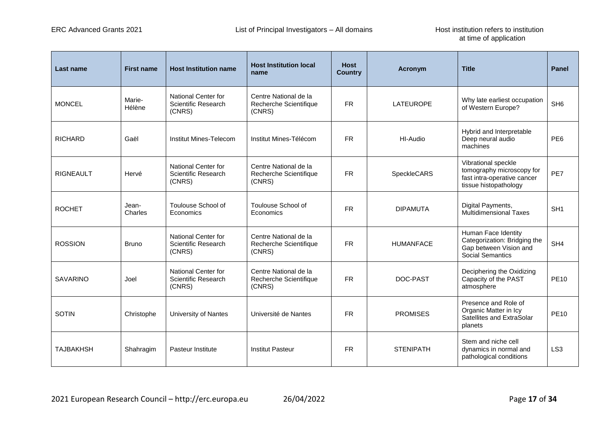| Last name        | <b>First name</b> | <b>Host Institution name</b>                                | <b>Host Institution local</b><br>name                     | <b>Host</b><br><b>Country</b> | <b>Acronym</b>   | <b>Title</b>                                                                                             | <b>Panel</b>    |
|------------------|-------------------|-------------------------------------------------------------|-----------------------------------------------------------|-------------------------------|------------------|----------------------------------------------------------------------------------------------------------|-----------------|
| <b>MONCEL</b>    | Marie-<br>Hélène  | National Center for<br><b>Scientific Research</b><br>(CNRS) | Centre National de la<br>Recherche Scientifique<br>(CNRS) | <b>FR</b>                     | <b>LATEUROPE</b> | Why late earliest occupation<br>of Western Europe?                                                       | SH <sub>6</sub> |
| <b>RICHARD</b>   | Gaël              | Institut Mines-Telecom                                      | Institut Mines-Télécom                                    | <b>FR</b>                     | HI-Audio         | Hybrid and Interpretable<br>Deep neural audio<br>machines                                                | PE <sub>6</sub> |
| <b>RIGNEAULT</b> | Hervé             | National Center for<br><b>Scientific Research</b><br>(CNRS) | Centre National de la<br>Recherche Scientifique<br>(CNRS) | <b>FR</b>                     | SpeckleCARS      | Vibrational speckle<br>tomography microscopy for<br>fast intra-operative cancer<br>tissue histopathology | PE7             |
| <b>ROCHET</b>    | Jean-<br>Charles  | Toulouse School of<br>Economics                             | Toulouse School of<br>Economics                           | FR.                           | <b>DIPAMUTA</b>  | Digital Payments,<br><b>Multidimensional Taxes</b>                                                       | SH <sub>1</sub> |
| <b>ROSSION</b>   | <b>Bruno</b>      | National Center for<br><b>Scientific Research</b><br>(CNRS) | Centre National de la<br>Recherche Scientifique<br>(CNRS) | <b>FR</b>                     | <b>HUMANFACE</b> | Human Face Identity<br>Categorization: Bridging the<br>Gap between Vision and<br>Social Semantics        | SH <sub>4</sub> |
| <b>SAVARINO</b>  | Joel              | National Center for<br><b>Scientific Research</b><br>(CNRS) | Centre National de la<br>Recherche Scientifique<br>(CNRS) | <b>FR</b>                     | DOC-PAST         | Deciphering the Oxidizing<br>Capacity of the PAST<br>atmosphere                                          | <b>PE10</b>     |
| <b>SOTIN</b>     | Christophe        | University of Nantes                                        | Université de Nantes                                      | <b>FR</b>                     | <b>PROMISES</b>  | Presence and Role of<br>Organic Matter in Icy<br>Satellites and ExtraSolar<br>planets                    | <b>PE10</b>     |
| <b>TAJBAKHSH</b> | Shahragim         | Pasteur Institute                                           | <b>Institut Pasteur</b>                                   | <b>FR</b>                     | <b>STENIPATH</b> | Stem and niche cell<br>dynamics in normal and<br>pathological conditions                                 | LS <sub>3</sub> |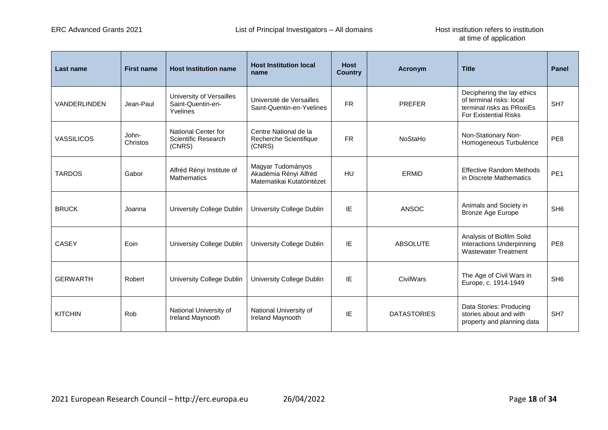| Last name           | <b>First name</b> | <b>Host Institution name</b>                              | <b>Host Institution local</b><br>name                                   | <b>Host</b><br><b>Country</b> | <b>Acronym</b>     | <b>Title</b>                                                                                                        | <b>Panel</b>    |
|---------------------|-------------------|-----------------------------------------------------------|-------------------------------------------------------------------------|-------------------------------|--------------------|---------------------------------------------------------------------------------------------------------------------|-----------------|
| <b>VANDERLINDEN</b> | Jean-Paul         | University of Versailles<br>Saint-Quentin-en-<br>Yvelines | Université de Versailles<br>Saint-Quentin-en-Yvelines                   | <b>FR</b>                     | <b>PREFER</b>      | Deciphering the lay ethics<br>of terminal risks: local<br>terminal risks as PRoxiEs<br><b>For Existential Risks</b> | SH <sub>7</sub> |
| <b>VASSILICOS</b>   | John-<br>Christos | National Center for<br>Scientific Research<br>(CNRS)      | Centre National de la<br>Recherche Scientifique<br>(CNRS)               | <b>FR</b>                     | NoStaHo            | Non-Stationary Non-<br>Homogeneous Turbulence                                                                       | PE8             |
| <b>TARDOS</b>       | Gabor             | Alfréd Rényi Institute of<br><b>Mathematics</b>           | Magyar Tudományos<br>Akadémia Rényi Alfréd<br>Matematikai Kutatóintézet | HU                            | ERMID              | <b>Effective Random Methods</b><br>in Discrete Mathematics                                                          | PE <sub>1</sub> |
| <b>BRUCK</b>        | Joanna            | University College Dublin                                 | University College Dublin                                               | IE                            | ANSOC              | Animals and Society in<br>Bronze Age Europe                                                                         | SH <sub>6</sub> |
| <b>CASEY</b>        | Eoin              | University College Dublin                                 | University College Dublin                                               | IE                            | <b>ABSOLUTE</b>    | Analysis of Biofilm Solid<br>Interactions Underpinning<br><b>Wastewater Treatment</b>                               | PE8             |
| <b>GERWARTH</b>     | Robert            | University College Dublin                                 | University College Dublin                                               | IE                            | CivilWars          | The Age of Civil Wars in<br>Europe, c. 1914-1949                                                                    | SH <sub>6</sub> |
| <b>KITCHIN</b>      | Rob               | National University of<br>Ireland Maynooth                | National University of<br>Ireland Maynooth                              | IE                            | <b>DATASTORIES</b> | Data Stories: Producing<br>stories about and with<br>property and planning data                                     | SH <sub>7</sub> |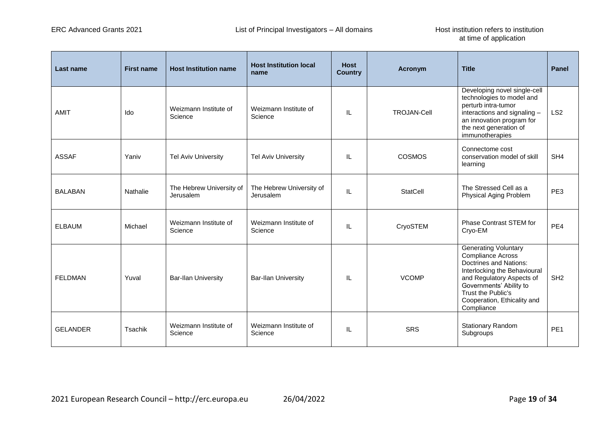| Last name       | <b>First name</b> | <b>Host Institution name</b>          | <b>Host Institution local</b><br>name | <b>Host</b><br><b>Country</b> | <b>Acronym</b>     | <b>Title</b>                                                                                                                                                                                                                                 | <b>Panel</b>    |
|-----------------|-------------------|---------------------------------------|---------------------------------------|-------------------------------|--------------------|----------------------------------------------------------------------------------------------------------------------------------------------------------------------------------------------------------------------------------------------|-----------------|
| <b>AMIT</b>     | Ido               | Weizmann Institute of<br>Science      | Weizmann Institute of<br>Science      | IL                            | <b>TROJAN-Cell</b> | Developing novel single-cell<br>technologies to model and<br>perturb intra-tumor<br>interactions and signaling $-$<br>an innovation program for<br>the next generation of<br>immunotherapies                                                 | LS <sub>2</sub> |
| <b>ASSAF</b>    | Yaniv             | <b>Tel Aviv University</b>            | <b>Tel Aviv University</b>            | IL                            | <b>COSMOS</b>      | Connectome cost<br>conservation model of skill<br>learning                                                                                                                                                                                   | SH <sub>4</sub> |
| <b>BALABAN</b>  | Nathalie          | The Hebrew University of<br>Jerusalem | The Hebrew University of<br>Jerusalem | IL                            | <b>StatCell</b>    | The Stressed Cell as a<br>Physical Aging Problem                                                                                                                                                                                             | PE3             |
| <b>ELBAUM</b>   | Michael           | Weizmann Institute of<br>Science      | Weizmann Institute of<br>Science      | IL                            | CryoSTEM           | <b>Phase Contrast STEM for</b><br>Cryo-EM                                                                                                                                                                                                    | PE4             |
| <b>FELDMAN</b>  | Yuval             | <b>Bar-Ilan University</b>            | <b>Bar-Ilan University</b>            | IL                            | <b>VCOMP</b>       | <b>Generating Voluntary</b><br><b>Compliance Across</b><br>Doctrines and Nations:<br>Interlocking the Behavioural<br>and Regulatory Aspects of<br>Governments' Ability to<br>Trust the Public's<br>Cooperation, Ethicality and<br>Compliance | SH <sub>2</sub> |
| <b>GELANDER</b> | Tsachik           | Weizmann Institute of<br>Science      | Weizmann Institute of<br>Science      | IL                            | <b>SRS</b>         | Stationary Random<br>Subgroups                                                                                                                                                                                                               | PE <sub>1</sub> |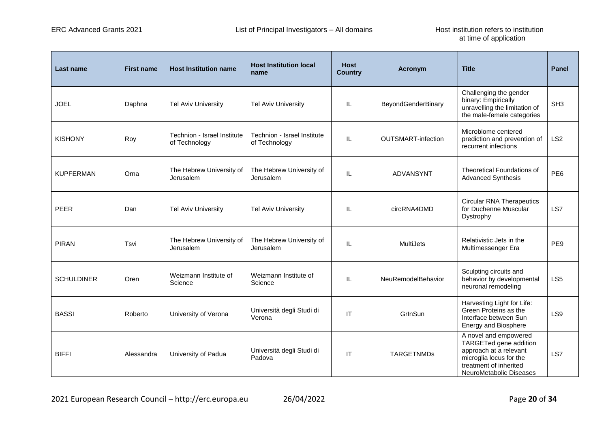| Last name         | <b>First name</b> | <b>Host Institution name</b>                 | <b>Host Institution local</b><br>name        | <b>Host</b><br><b>Country</b> | Acronym                   | <b>Title</b>                                                                                                                                              | <b>Panel</b>    |
|-------------------|-------------------|----------------------------------------------|----------------------------------------------|-------------------------------|---------------------------|-----------------------------------------------------------------------------------------------------------------------------------------------------------|-----------------|
| <b>JOEL</b>       | Daphna            | <b>Tel Aviv University</b>                   | <b>Tel Aviv University</b>                   | IL                            | BeyondGenderBinary        | Challenging the gender<br>binary: Empirically<br>unravelling the limitation of<br>the male-female categories                                              | SH <sub>3</sub> |
| <b>KISHONY</b>    | Roy               | Technion - Israel Institute<br>of Technology | Technion - Israel Institute<br>of Technology | IL                            | <b>OUTSMART-infection</b> | Microbiome centered<br>prediction and prevention of<br>recurrent infections                                                                               | LS <sub>2</sub> |
| <b>KUPFERMAN</b>  | Orna              | The Hebrew University of<br>Jerusalem        | The Hebrew University of<br>Jerusalem        | IL                            | <b>ADVANSYNT</b>          | <b>Theoretical Foundations of</b><br><b>Advanced Synthesis</b>                                                                                            | PE <sub>6</sub> |
| <b>PEER</b>       | Dan               | <b>Tel Aviv University</b>                   | <b>Tel Aviv University</b>                   | IL                            | circRNA4DMD               | <b>Circular RNA Therapeutics</b><br>for Duchenne Muscular<br>Dystrophy                                                                                    | LS7             |
| <b>PIRAN</b>      | Tsvi              | The Hebrew University of<br>Jerusalem        | The Hebrew University of<br>Jerusalem        | IL                            | MultiJets                 | Relativistic Jets in the<br>Multimessenger Era                                                                                                            | PE9             |
| <b>SCHULDINER</b> | Oren              | Weizmann Institute of<br>Science             | Weizmann Institute of<br>Science             | IL                            | NeuRemodelBehavior        | Sculpting circuits and<br>behavior by developmental<br>neuronal remodeling                                                                                | LS <sub>5</sub> |
| <b>BASSI</b>      | Roberto           | University of Verona                         | Università degli Studi di<br>Verona          | IT                            | GrInSun                   | Harvesting Light for Life:<br>Green Proteins as the<br>Interface between Sun<br>Energy and Biosphere                                                      | LS9             |
| <b>BIFFI</b>      | Alessandra        | University of Padua                          | Università degli Studi di<br>Padova          | <b>IT</b>                     | <b>TARGETNMDs</b>         | A novel and empowered<br>TARGETed gene addition<br>approach at a relevant<br>microglia locus for the<br>treatment of inherited<br>NeuroMetabolic Diseases | LS7             |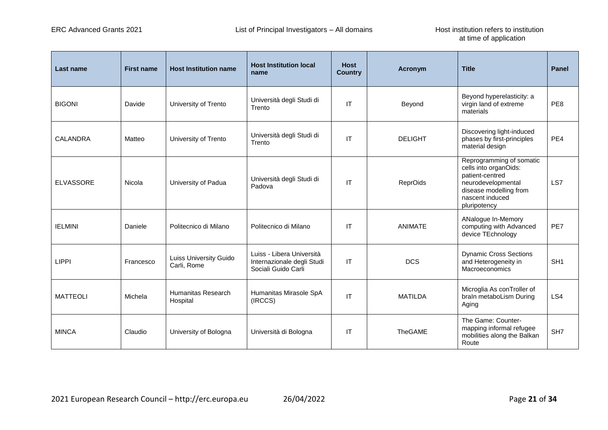| Last name        | <b>First name</b> | <b>Host Institution name</b>          | <b>Host Institution local</b><br>name                                          | <b>Host</b><br><b>Country</b> | Acronym         | <b>Title</b>                                                                                                                                            | <b>Panel</b>    |
|------------------|-------------------|---------------------------------------|--------------------------------------------------------------------------------|-------------------------------|-----------------|---------------------------------------------------------------------------------------------------------------------------------------------------------|-----------------|
| <b>BIGONI</b>    | Davide            | University of Trento                  | Università degli Studi di<br>Trento                                            | IT                            | Beyond          | Beyond hyperelasticity: a<br>virgin land of extreme<br>materials                                                                                        | PE8             |
| <b>CALANDRA</b>  | Matteo            | University of Trento                  | Università degli Studi di<br>Trento                                            | IT                            | <b>DELIGHT</b>  | Discovering light-induced<br>phases by first-principles<br>material design                                                                              | PE4             |
| <b>ELVASSORE</b> | Nicola            | University of Padua                   | Università degli Studi di<br>Padova                                            | IT                            | <b>ReprOids</b> | Reprogramming of somatic<br>cells into organOids:<br>patient-centred<br>neurodevelopmental<br>disease modelling from<br>nascent induced<br>pluripotency | LS7             |
| <b>IELMINI</b>   | Daniele           | Politecnico di Milano                 | Politecnico di Milano                                                          | IT                            | <b>ANIMATE</b>  | ANalogue In-Memory<br>computing with Advanced<br>device TEchnology                                                                                      | PE7             |
| <b>LIPPI</b>     | Francesco         | Luiss University Guido<br>Carli, Rome | Luiss - Libera Università<br>Internazionale degli Studi<br>Sociali Guido Carli | IT                            | <b>DCS</b>      | <b>Dynamic Cross Sections</b><br>and Heterogeneity in<br>Macroeconomics                                                                                 | SH <sub>1</sub> |
| <b>MATTEOLI</b>  | Michela           | Humanitas Research<br>Hospital        | Humanitas Mirasole SpA<br>(IRCCS)                                              | IT                            | <b>MATILDA</b>  | Microglia As conTroller of<br>braIn metaboLism During<br>Aging                                                                                          | LS4             |
| <b>MINCA</b>     | Claudio           | University of Bologna                 | Università di Bologna                                                          | IT                            | TheGAME         | The Game: Counter-<br>mapping informal refugee<br>mobilities along the Balkan<br>Route                                                                  | SH <sub>7</sub> |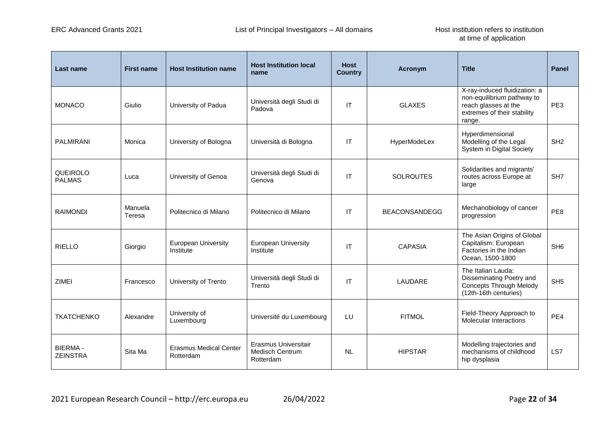| Last name                         | <b>First name</b> | <b>Host Institution name</b>               | <b>Host Institution local</b><br>name                       | <b>Host</b><br><b>Country</b> | Acronym              | <b>Title</b>                                                                                                                 | <b>Panel</b>    |
|-----------------------------------|-------------------|--------------------------------------------|-------------------------------------------------------------|-------------------------------|----------------------|------------------------------------------------------------------------------------------------------------------------------|-----------------|
| <b>MONACO</b>                     | Giulio            | University of Padua                        | Università degli Studi di<br>Padova                         | IT                            | <b>GLAXES</b>        | X-ray-induced fluidization: a<br>non-equilibrium pathway to<br>reach glasses at the<br>extremes of their stability<br>range. | PE3             |
| <b>PALMIRANI</b>                  | Monica            | University of Bologna                      | Università di Bologna                                       | IT                            | HyperModeLex         | Hyperdimensional<br>Modelling of the Legal<br>System in Digital Society                                                      | SH <sub>2</sub> |
| QUEIROLO<br><b>PALMAS</b>         | Luca              | University of Genoa                        | Università degli Studi di<br>Genova                         | IT                            | <b>SOLROUTES</b>     | Solidarities and migrants'<br>routes across Europe at<br>large                                                               | SH <sub>7</sub> |
| <b>RAIMONDI</b>                   | Manuela<br>Teresa | Politecnico di Milano                      | Politecnico di Milano                                       | IT                            | <b>BEACONSANDEGG</b> | Mechanobiology of cancer<br>progression                                                                                      | PE8             |
| <b>RIELLO</b>                     | Giorgio           | European University<br>Institute           | <b>European University</b><br>Institute                     | IT                            | <b>CAPASIA</b>       | The Asian Origins of Global<br>Capitalism: European<br>Factories in the Indian<br>Ocean, 1500-1800                           | SH <sub>6</sub> |
| <b>ZIMEI</b>                      | Francesco         | University of Trento                       | Università degli Studi di<br>Trento                         | IT                            | LAUDARE              | The Italian Lauda:<br>Disseminating Poetry and<br><b>Concepts Through Melody</b><br>(12th-16th centuries)                    | SH <sub>5</sub> |
| <b>TKATCHENKO</b>                 | Alexandre         | University of<br>Luxembourg                | Université du Luxembourg                                    | LU                            | <b>FITMOL</b>        | Field-Theory Approach to<br><b>Molecular Interactions</b>                                                                    | PE4             |
| <b>BIERMA-</b><br><b>ZEINSTRA</b> | Sita Ma           | <b>Erasmus Medical Center</b><br>Rotterdam | Erasmus Universitair<br><b>Medisch Centrum</b><br>Rotterdam | <b>NL</b>                     | <b>HIPSTAR</b>       | Modelling trajectories and<br>mechanisms of childhood<br>hip dysplasia                                                       | LS7             |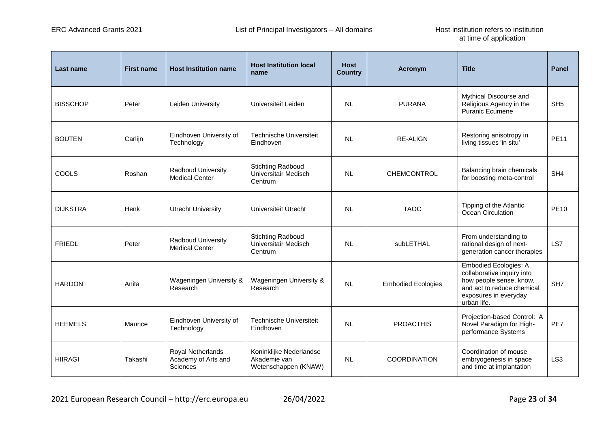| Last name       | <b>First name</b> | <b>Host Institution name</b>                         | <b>Host Institution local</b><br>name                           | <b>Host</b><br><b>Country</b> | <b>Acronym</b>            | <b>Title</b>                                                                                                                                                | <b>Panel</b>    |
|-----------------|-------------------|------------------------------------------------------|-----------------------------------------------------------------|-------------------------------|---------------------------|-------------------------------------------------------------------------------------------------------------------------------------------------------------|-----------------|
| <b>BISSCHOP</b> | Peter             | Leiden University                                    | Universiteit Leiden                                             | <b>NL</b>                     | <b>PURANA</b>             | Mythical Discourse and<br>Religious Agency in the<br><b>Puranic Ecumene</b>                                                                                 | SH <sub>5</sub> |
| <b>BOUTEN</b>   | Carlijn           | Eindhoven University of<br>Technology                | <b>Technische Universiteit</b><br>Eindhoven                     | <b>NL</b>                     | <b>RE-ALIGN</b>           | Restoring anisotropy in<br>living tissues 'in situ'                                                                                                         | <b>PE11</b>     |
| COOLS           | Roshan            | <b>Radboud University</b><br><b>Medical Center</b>   | <b>Stichting Radboud</b><br>Universitair Medisch<br>Centrum     | <b>NL</b>                     | CHEMCONTROL               | Balancing brain chemicals<br>for boosting meta-control                                                                                                      | SH <sub>4</sub> |
| <b>DIJKSTRA</b> | Henk              | <b>Utrecht University</b>                            | Universiteit Utrecht                                            | <b>NL</b>                     | <b>TAOC</b>               | Tipping of the Atlantic<br>Ocean Circulation                                                                                                                | <b>PE10</b>     |
| <b>FRIEDL</b>   | Peter             | <b>Radboud University</b><br><b>Medical Center</b>   | <b>Stichting Radboud</b><br>Universitair Medisch<br>Centrum     | <b>NL</b>                     | subLETHAL                 | From understanding to<br>rational design of next-<br>generation cancer therapies                                                                            | LS7             |
| <b>HARDON</b>   | Anita             | Wageningen University &<br>Research                  | Wageningen University &<br>Research                             | <b>NL</b>                     | <b>Embodied Ecologies</b> | <b>Embodied Ecologies: A</b><br>collaborative inquiry into<br>how people sense, know,<br>and act to reduce chemical<br>exposures in everyday<br>urban life. | SH <sub>7</sub> |
| <b>HEEMELS</b>  | Maurice           | Eindhoven University of<br>Technology                | <b>Technische Universiteit</b><br>Eindhoven                     | <b>NL</b>                     | <b>PROACTHIS</b>          | Projection-based Control: A<br>Novel Paradigm for High-<br>performance Systems                                                                              | PE7             |
| <b>HIIRAGI</b>  | Takashi           | Royal Netherlands<br>Academy of Arts and<br>Sciences | Koninklijke Nederlandse<br>Akademie van<br>Wetenschappen (KNAW) | <b>NL</b>                     | <b>COORDINATION</b>       | Coordination of mouse<br>embryogenesis in space<br>and time at implantation                                                                                 | LS <sub>3</sub> |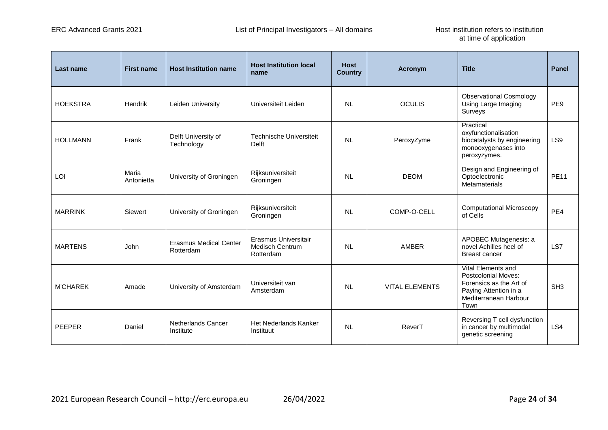| <b>Last name</b> | <b>First name</b>   | <b>Host Institution name</b>               | <b>Host Institution local</b><br>name                | <b>Host</b><br><b>Country</b> | Acronym               | <b>Title</b>                                                                                                                          | <b>Panel</b>    |
|------------------|---------------------|--------------------------------------------|------------------------------------------------------|-------------------------------|-----------------------|---------------------------------------------------------------------------------------------------------------------------------------|-----------------|
| <b>HOEKSTRA</b>  | Hendrik             | Leiden University                          | Universiteit Leiden                                  | <b>NL</b>                     | <b>OCULIS</b>         | <b>Observational Cosmology</b><br>Using Large Imaging<br>Surveys                                                                      | PE <sub>9</sub> |
| <b>HOLLMANN</b>  | Frank               | Delft University of<br>Technology          | <b>Technische Universiteit</b><br><b>Delft</b>       | <b>NL</b>                     | PeroxyZyme            | Practical<br>oxyfunctionalisation<br>biocatalysts by engineering<br>monooxygenases into<br>peroxyzymes.                               | LS9             |
| LOI              | Maria<br>Antonietta | University of Groningen                    | Rijksuniversiteit<br>Groningen                       | <b>NL</b>                     | <b>DEOM</b>           | Design and Engineering of<br>Optoelectronic<br>Metamaterials                                                                          | <b>PE11</b>     |
| <b>MARRINK</b>   | Siewert             | University of Groningen                    | Rijksuniversiteit<br>Groningen                       | <b>NL</b>                     | COMP-O-CELL           | <b>Computational Microscopy</b><br>of Cells                                                                                           | PE4             |
| <b>MARTENS</b>   | John                | <b>Erasmus Medical Center</b><br>Rotterdam | Erasmus Universitair<br>Medisch Centrum<br>Rotterdam | <b>NL</b>                     | AMBER                 | APOBEC Mutagenesis: a<br>novel Achilles heel of<br><b>Breast cancer</b>                                                               | LS7             |
| <b>M'CHAREK</b>  | Amade               | University of Amsterdam                    | Universiteit van<br>Amsterdam                        | <b>NL</b>                     | <b>VITAL ELEMENTS</b> | Vital Elements and<br><b>Postcolonial Moves:</b><br>Forensics as the Art of<br>Paying Attention in a<br>Mediterranean Harbour<br>Town | SH <sub>3</sub> |
| <b>PEEPER</b>    | Daniel              | Netherlands Cancer<br>Institute            | Het Nederlands Kanker<br>Instituut                   | <b>NL</b>                     | ReverT                | Reversing T cell dysfunction<br>in cancer by multimodal<br>genetic screening                                                          | LS4             |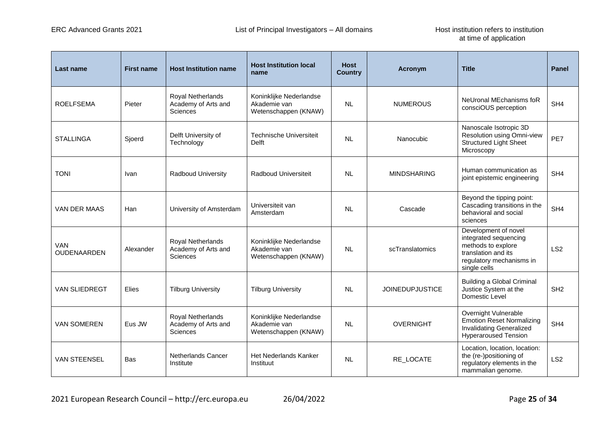| <b>Last name</b>     | <b>First name</b> | <b>Host Institution name</b>                                | <b>Host Institution local</b><br>name                           | <b>Host</b><br><b>Country</b> | <b>Acronym</b>         | <b>Title</b>                                                                                                                           | Panel           |
|----------------------|-------------------|-------------------------------------------------------------|-----------------------------------------------------------------|-------------------------------|------------------------|----------------------------------------------------------------------------------------------------------------------------------------|-----------------|
| <b>ROELFSEMA</b>     | Pieter            | Royal Netherlands<br>Academy of Arts and<br><b>Sciences</b> | Koninklijke Nederlandse<br>Akademie van<br>Wetenschappen (KNAW) | <b>NL</b>                     | <b>NUMEROUS</b>        | NeUronal MEchanisms foR<br>consciOUS perception                                                                                        | SH <sub>4</sub> |
| <b>STALLINGA</b>     | Sjoerd            | Delft University of<br>Technology                           | Technische Universiteit<br>Delft                                | <b>NL</b>                     | Nanocubic              | Nanoscale Isotropic 3D<br>Resolution using Omni-view<br><b>Structured Light Sheet</b><br>Microscopy                                    | PE7             |
| <b>TONI</b>          | Ivan              | Radboud University                                          | Radboud Universiteit                                            | <b>NL</b>                     | <b>MINDSHARING</b>     | Human communication as<br>joint epistemic engineering                                                                                  | SH <sub>4</sub> |
| VAN DER MAAS         | Han               | University of Amsterdam                                     | Universiteit van<br>Amsterdam                                   | NL                            | Cascade                | Beyond the tipping point:<br>Cascading transitions in the<br>behavioral and social<br>sciences                                         | SH <sub>4</sub> |
| VAN<br>OUDENAARDEN   | Alexander         | Royal Netherlands<br>Academy of Arts and<br><b>Sciences</b> | Koninklijke Nederlandse<br>Akademie van<br>Wetenschappen (KNAW) | <b>NL</b>                     | scTranslatomics        | Development of novel<br>integrated sequencing<br>methods to explore<br>translation and its<br>regulatory mechanisms in<br>single cells | LS <sub>2</sub> |
| <b>VAN SLIEDREGT</b> | Elies             | <b>Tilburg University</b>                                   | <b>Tilburg University</b>                                       | <b>NL</b>                     | <b>JOINEDUPJUSTICE</b> | <b>Building a Global Criminal</b><br>Justice System at the<br>Domestic Level                                                           | SH <sub>2</sub> |
| <b>VAN SOMEREN</b>   | Eus JW            | Royal Netherlands<br>Academy of Arts and<br>Sciences        | Koninklijke Nederlandse<br>Akademie van<br>Wetenschappen (KNAW) | <b>NL</b>                     | <b>OVERNIGHT</b>       | Overnight Vulnerable<br><b>Emotion Reset Normalizing</b><br><b>Invalidating Generalized</b><br><b>Hyperaroused Tension</b>             | SH <sub>4</sub> |
| <b>VAN STEENSEL</b>  | <b>Bas</b>        | Netherlands Cancer<br>Institute                             | Het Nederlands Kanker<br>Instituut                              | <b>NL</b>                     | RE_LOCATE              | Location, location, location:<br>the (re-)positioning of<br>regulatory elements in the<br>mammalian genome.                            | LS <sub>2</sub> |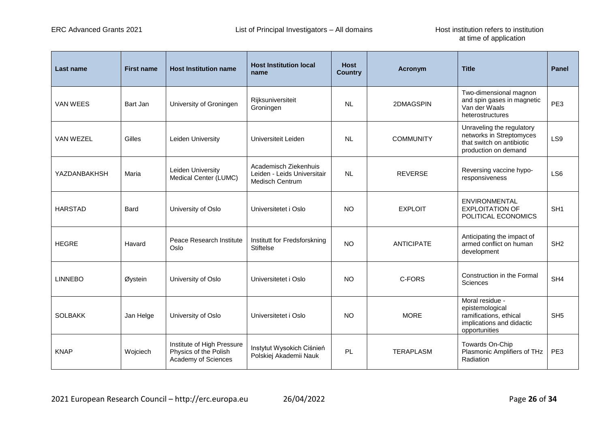| Last name        | <b>First name</b> | <b>Host Institution name</b>                                               | <b>Host Institution local</b><br>name                                          | <b>Host</b><br><b>Country</b> | <b>Acronym</b>    | <b>Title</b>                                                                                               | <b>Panel</b>    |
|------------------|-------------------|----------------------------------------------------------------------------|--------------------------------------------------------------------------------|-------------------------------|-------------------|------------------------------------------------------------------------------------------------------------|-----------------|
| <b>VAN WEES</b>  | Bart Jan          | University of Groningen                                                    | Rijksuniversiteit<br>Groningen                                                 | <b>NL</b>                     | 2DMAGSPIN         | Two-dimensional magnon<br>and spin gases in magnetic<br>Van der Waals<br>heterostructures                  | PE3             |
| <b>VAN WEZEL</b> | Gilles            | Leiden University                                                          | Universiteit Leiden                                                            | <b>NL</b>                     | <b>COMMUNITY</b>  | Unraveling the regulatory<br>networks in Streptomyces<br>that switch on antibiotic<br>production on demand | LS9             |
| YAZDANBAKHSH     | Maria             | Leiden University<br>Medical Center (LUMC)                                 | Academisch Ziekenhuis<br>Leiden - Leids Universitair<br><b>Medisch Centrum</b> | <b>NL</b>                     | <b>REVERSE</b>    | Reversing vaccine hypo-<br>responsiveness                                                                  | LS <sub>6</sub> |
| <b>HARSTAD</b>   | Bard              | University of Oslo                                                         | Universitetet i Oslo                                                           | <b>NO</b>                     | <b>EXPLOIT</b>    | <b>ENVIRONMENTAL</b><br><b>EXPLOITATION OF</b><br>POLITICAL ECONOMICS                                      | SH <sub>1</sub> |
| <b>HEGRE</b>     | Havard            | Peace Research Institute<br>Oslo                                           | Institutt for Fredsforskning<br><b>Stiftelse</b>                               | <b>NO</b>                     | <b>ANTICIPATE</b> | Anticipating the impact of<br>armed conflict on human<br>development                                       | SH <sub>2</sub> |
| <b>LINNEBO</b>   | Øystein           | University of Oslo                                                         | Universitetet i Oslo                                                           | <b>NO</b>                     | C-FORS            | Construction in the Formal<br>Sciences                                                                     | SH4             |
| <b>SOLBAKK</b>   | Jan Helge         | University of Oslo                                                         | Universitetet i Oslo                                                           | <b>NO</b>                     | <b>MORE</b>       | Moral residue -<br>epistemological<br>ramifications, ethical<br>implications and didactic<br>opportunities | SH <sub>5</sub> |
| <b>KNAP</b>      | Wojciech          | Institute of High Pressure<br>Physics of the Polish<br>Academy of Sciences | Instytut Wysokich Ciśnień<br>Polskiej Akademii Nauk                            | PL                            | <b>TERAPLASM</b>  | Towards On-Chip<br>Plasmonic Amplifiers of THz<br>Radiation                                                | PE3             |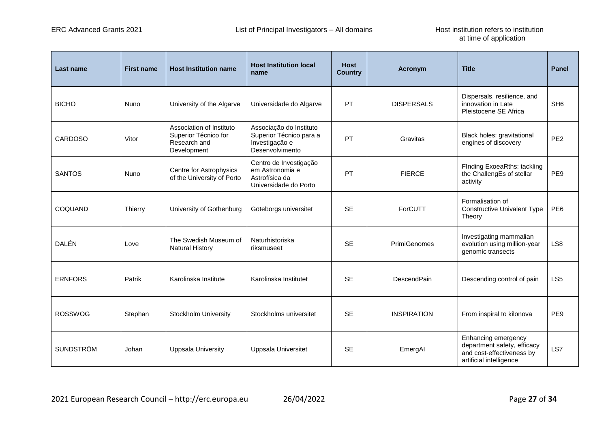| Last name        | <b>First name</b> | <b>Host Institution name</b>                                                    | <b>Host Institution local</b><br>name                                                   | <b>Host</b><br><b>Country</b> | <b>Acronym</b>      | <b>Title</b>                                                                                               | <b>Panel</b>    |
|------------------|-------------------|---------------------------------------------------------------------------------|-----------------------------------------------------------------------------------------|-------------------------------|---------------------|------------------------------------------------------------------------------------------------------------|-----------------|
| <b>BICHO</b>     | Nuno              | University of the Algarve                                                       | Universidade do Algarve                                                                 | <b>PT</b>                     | <b>DISPERSALS</b>   | Dispersals, resilience, and<br>innovation in Late<br>Pleistocene SE Africa                                 | SH <sub>6</sub> |
| <b>CARDOSO</b>   | Vitor             | Association of Instituto<br>Superior Técnico for<br>Research and<br>Development | Associação do Instituto<br>Superior Técnico para a<br>Investigação e<br>Desenvolvimento | PT                            | Gravitas            | Black holes: gravitational<br>engines of discovery                                                         | PE <sub>2</sub> |
| <b>SANTOS</b>    | <b>Nuno</b>       | Centre for Astrophysics<br>of the University of Porto                           | Centro de Investigação<br>em Astronomia e<br>Astrofísica da<br>Universidade do Porto    | PT                            | <b>FIERCE</b>       | FInding ExoeaRths: tackling<br>the ChallengEs of stellar<br>activity                                       | PE <sub>9</sub> |
| COQUAND          | Thierry           | University of Gothenburg                                                        | Göteborgs universitet                                                                   | <b>SE</b>                     | ForCUTT             | Formalisation of<br><b>Constructive Univalent Type</b><br>Theory                                           | PE <sub>6</sub> |
| DALÉN            | Love              | The Swedish Museum of<br><b>Natural History</b>                                 | Naturhistoriska<br>riksmuseet                                                           | <b>SE</b>                     | <b>PrimiGenomes</b> | Investigating mammalian<br>evolution using million-year<br>genomic transects                               | LS <sub>8</sub> |
| <b>ERNFORS</b>   | Patrik            | Karolinska Institute                                                            | Karolinska Institutet                                                                   | <b>SE</b>                     | DescendPain         | Descending control of pain                                                                                 | LS <sub>5</sub> |
| <b>ROSSWOG</b>   | Stephan           | Stockholm University                                                            | Stockholms universitet                                                                  | <b>SE</b>                     | <b>INSPIRATION</b>  | From inspiral to kilonova                                                                                  | PE9             |
| <b>SUNDSTRÖM</b> | Johan             | <b>Uppsala University</b>                                                       | Uppsala Universitet                                                                     | <b>SE</b>                     | EmergAl             | Enhancing emergency<br>department safety, efficacy<br>and cost-effectiveness by<br>artificial intelligence | LS7             |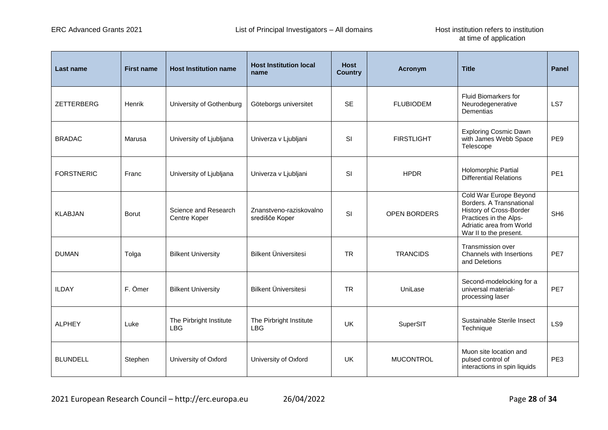| Last name         | <b>First name</b> | <b>Host Institution name</b>          | <b>Host Institution local</b><br>name     | <b>Host</b><br><b>Country</b> | <b>Acronym</b>      | <b>Title</b>                                                                                                                                                  | <b>Panel</b>    |
|-------------------|-------------------|---------------------------------------|-------------------------------------------|-------------------------------|---------------------|---------------------------------------------------------------------------------------------------------------------------------------------------------------|-----------------|
| ZETTERBERG        | <b>Henrik</b>     | University of Gothenburg              | Göteborgs universitet                     | <b>SE</b>                     | <b>FLUBIODEM</b>    | <b>Fluid Biomarkers for</b><br>Neurodegenerative<br>Dementias                                                                                                 | LS7             |
| <b>BRADAC</b>     | Marusa            | University of Ljubljana               | Univerza v Ljubljani                      | SI                            | <b>FIRSTLIGHT</b>   | <b>Exploring Cosmic Dawn</b><br>with James Webb Space<br>Telescope                                                                                            | PE <sub>9</sub> |
| <b>FORSTNERIC</b> | Franc             | University of Ljubljana               | Univerza v Ljubljani                      | SI                            | <b>HPDR</b>         | Holomorphic Partial<br><b>Differential Relations</b>                                                                                                          | PE <sub>1</sub> |
| <b>KLABJAN</b>    | <b>Borut</b>      | Science and Research<br>Centre Koper  | Znanstveno-raziskovalno<br>središče Koper | SI                            | <b>OPEN BORDERS</b> | Cold War Europe Beyond<br>Borders. A Transnational<br>History of Cross-Border<br>Practices in the Alps-<br>Adriatic area from World<br>War II to the present. | SH <sub>6</sub> |
| <b>DUMAN</b>      | Tolga             | <b>Bilkent University</b>             | <b>Bilkent Üniversitesi</b>               | <b>TR</b>                     | <b>TRANCIDS</b>     | Transmission over<br>Channels with Insertions<br>and Deletions                                                                                                | PF7             |
| <b>ILDAY</b>      | F. Ömer           | <b>Bilkent University</b>             | <b>Bilkent Üniversitesi</b>               | <b>TR</b>                     | UniLase             | Second-modelocking for a<br>universal material-<br>processing laser                                                                                           | PE7             |
| <b>ALPHEY</b>     | Luke              | The Pirbright Institute<br><b>LBG</b> | The Pirbright Institute<br><b>LBG</b>     | UK                            | SuperSIT            | Sustainable Sterile Insect<br>Technique                                                                                                                       | LS9             |
| <b>BLUNDELL</b>   | Stephen           | University of Oxford                  | University of Oxford                      | <b>UK</b>                     | <b>MUCONTROL</b>    | Muon site location and<br>pulsed control of<br>interactions in spin liquids                                                                                   | PE <sub>3</sub> |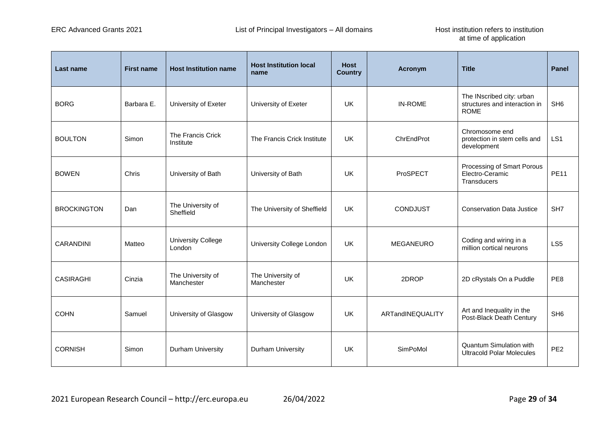| <b>Last name</b>   | <b>First name</b> | <b>Host Institution name</b>        | <b>Host Institution local</b><br>name | <b>Host</b><br><b>Country</b> | Acronym          | <b>Title</b>                                                              | <b>Panel</b>    |
|--------------------|-------------------|-------------------------------------|---------------------------------------|-------------------------------|------------------|---------------------------------------------------------------------------|-----------------|
| <b>BORG</b>        | Barbara E.        | University of Exeter                | University of Exeter                  | <b>UK</b>                     | <b>IN-ROME</b>   | The INscribed city: urban<br>structures and interaction in<br><b>ROME</b> | SH <sub>6</sub> |
| <b>BOULTON</b>     | Simon             | The Francis Crick<br>Institute      | The Francis Crick Institute           | UK                            | ChrEndProt       | Chromosome end<br>protection in stem cells and<br>development             | LS <sub>1</sub> |
| <b>BOWEN</b>       | Chris             | University of Bath                  | University of Bath                    | UK                            | ProSPECT         | Processing of Smart Porous<br>Electro-Ceramic<br><b>Transducers</b>       | <b>PE11</b>     |
| <b>BROCKINGTON</b> | Dan               | The University of<br>Sheffield      | The University of Sheffield           | <b>UK</b>                     | <b>CONDJUST</b>  | <b>Conservation Data Justice</b>                                          | SH <sub>7</sub> |
| CARANDINI          | Matteo            | <b>University College</b><br>London | University College London             | UK.                           | MEGANEURO        | Coding and wiring in a<br>million cortical neurons                        | LS <sub>5</sub> |
| <b>CASIRAGHI</b>   | Cinzia            | The University of<br>Manchester     | The University of<br>Manchester       | UK                            | 2DROP            | 2D cRystals On a Puddle                                                   | PE8             |
| <b>COHN</b>        | Samuel            | University of Glasgow               | University of Glasgow                 | <b>UK</b>                     | ARTandINEQUALITY | Art and Inequality in the<br>Post-Black Death Century                     | SH <sub>6</sub> |
| <b>CORNISH</b>     | Simon             | <b>Durham University</b>            | <b>Durham University</b>              | <b>UK</b>                     | SimPoMol         | <b>Quantum Simulation with</b><br><b>Ultracold Polar Molecules</b>        | PE <sub>2</sub> |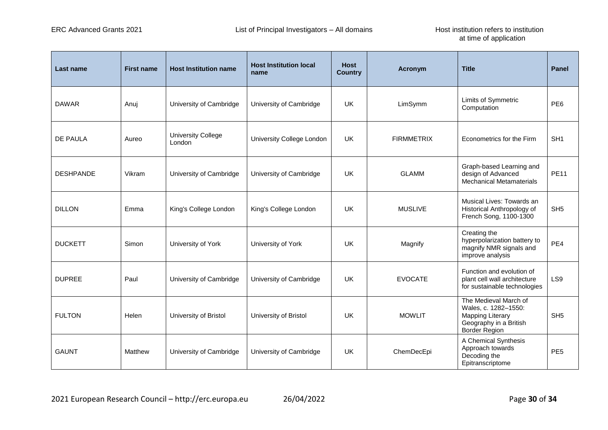| Last name        | <b>First name</b> | <b>Host Institution name</b>        | <b>Host Institution local</b><br>name | <b>Host</b><br><b>Country</b> | <b>Acronym</b>    | <b>Title</b>                                                                                                               | <b>Panel</b>    |
|------------------|-------------------|-------------------------------------|---------------------------------------|-------------------------------|-------------------|----------------------------------------------------------------------------------------------------------------------------|-----------------|
| <b>DAWAR</b>     | Anuj              | University of Cambridge             | University of Cambridge               | UK.                           | LimSymm           | Limits of Symmetric<br>Computation                                                                                         | PE <sub>6</sub> |
| DE PAULA         | Aureo             | <b>University College</b><br>London | University College London             | UK                            | <b>FIRMMETRIX</b> | Econometrics for the Firm                                                                                                  | SH <sub>1</sub> |
| <b>DESHPANDE</b> | Vikram            | University of Cambridge             | University of Cambridge               | UK                            | <b>GLAMM</b>      | Graph-based Learning and<br>design of Advanced<br><b>Mechanical Metamaterials</b>                                          | <b>PE11</b>     |
| <b>DILLON</b>    | Emma              | King's College London               | King's College London                 | UK                            | <b>MUSLIVE</b>    | Musical Lives: Towards an<br>Historical Anthropology of<br>French Song, 1100-1300                                          | SH <sub>5</sub> |
| <b>DUCKETT</b>   | Simon             | University of York                  | University of York                    | UK                            | Magnify           | Creating the<br>hyperpolarization battery to<br>magnify NMR signals and<br>improve analysis                                | PE4             |
| <b>DUPREE</b>    | Paul              | University of Cambridge             | University of Cambridge               | UK                            | <b>EVOCATE</b>    | Function and evolution of<br>plant cell wall architecture<br>for sustainable technologies                                  | LS9             |
| <b>FULTON</b>    | Helen             | University of Bristol               | University of Bristol                 | UK                            | <b>MOWLIT</b>     | The Medieval March of<br>Wales, c. 1282-1550:<br><b>Mapping Literary</b><br>Geography in a British<br><b>Border Region</b> | SH <sub>5</sub> |
| <b>GAUNT</b>     | Matthew           | University of Cambridge             | University of Cambridge               | <b>UK</b>                     | ChemDecEpi        | A Chemical Synthesis<br>Approach towards<br>Decoding the<br>Epitranscriptome                                               | PE <sub>5</sub> |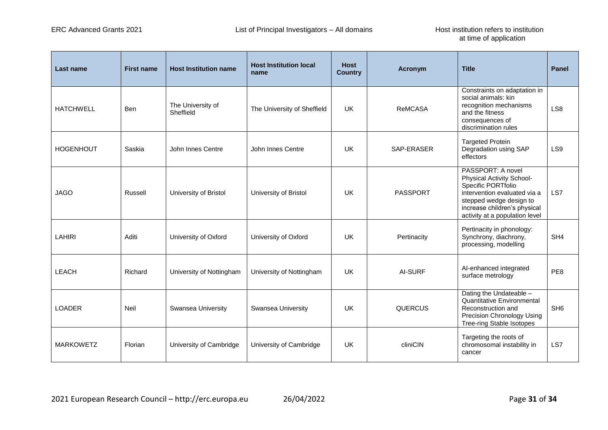| Last name        | <b>First name</b> | <b>Host Institution name</b>   | <b>Host Institution local</b><br>name | <b>Host</b><br><b>Country</b> | Acronym         | <b>Title</b>                                                                                                                                                                                      | <b>Panel</b>    |
|------------------|-------------------|--------------------------------|---------------------------------------|-------------------------------|-----------------|---------------------------------------------------------------------------------------------------------------------------------------------------------------------------------------------------|-----------------|
| <b>HATCHWELL</b> | <b>Ben</b>        | The University of<br>Sheffield | The University of Sheffield           | <b>UK</b>                     | <b>ReMCASA</b>  | Constraints on adaptation in<br>social animals: kin<br>recognition mechanisms<br>and the fitness<br>consequences of<br>discrimination rules                                                       | LS <sub>8</sub> |
| <b>HOGENHOUT</b> | Saskia            | John Innes Centre              | John Innes Centre                     | UK                            | SAP-ERASER      | <b>Targeted Protein</b><br>Degradation using SAP<br>effectors                                                                                                                                     | LS9             |
| <b>JAGO</b>      | Russell           | University of Bristol          | University of Bristol                 | <b>UK</b>                     | <b>PASSPORT</b> | PASSPORT: A novel<br>Physical Activity School-<br>Specific PORTfolio<br>intervention evaluated via a<br>stepped wedge design to<br>increase children's physical<br>activity at a population level | LS7             |
| <b>LAHIRI</b>    | Aditi             | University of Oxford           | University of Oxford                  | <b>UK</b>                     | Pertinacity     | Pertinacity in phonology:<br>Synchrony, diachrony,<br>processing, modelling                                                                                                                       | SH <sub>4</sub> |
| LEACH            | Richard           | University of Nottingham       | University of Nottingham              | UK                            | AI-SURF         | Al-enhanced integrated<br>surface metrology                                                                                                                                                       | PE8             |
| <b>LOADER</b>    | <b>Neil</b>       | Swansea University             | Swansea University                    | <b>UK</b>                     | QUERCUS         | Dating the Undateable -<br><b>Quantitative Environmental</b><br>Reconstruction and<br>Precision Chronology Using<br>Tree-ring Stable Isotopes                                                     | SH <sub>6</sub> |
| <b>MARKOWETZ</b> | Florian           | University of Cambridge        | University of Cambridge               | <b>UK</b>                     | cliniCIN        | Targeting the roots of<br>chromosomal instability in<br>cancer                                                                                                                                    | LS7             |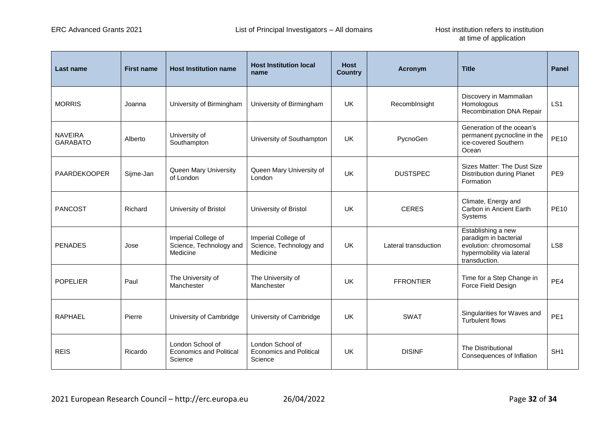| Last name                         | <b>First name</b> | <b>Host Institution name</b>                                  | <b>Host Institution local</b><br>name                         | <b>Host</b><br><b>Country</b> | Acronym              | <b>Title</b>                                                                                                        | <b>Panel</b>    |
|-----------------------------------|-------------------|---------------------------------------------------------------|---------------------------------------------------------------|-------------------------------|----------------------|---------------------------------------------------------------------------------------------------------------------|-----------------|
| <b>MORRIS</b>                     | Joanna            | University of Birmingham                                      | University of Birmingham                                      | UK                            | Recombinsight        | Discovery in Mammalian<br>Homologous<br>Recombination DNA Repair                                                    | LS <sub>1</sub> |
| <b>NAVEIRA</b><br><b>GARABATO</b> | Alberto           | University of<br>Southampton                                  | University of Southampton                                     | UK                            | PycnoGen             | Generation of the ocean's<br>permanent pycnocline in the<br>ice-covered Southern<br>Ocean                           | <b>PE10</b>     |
| PAARDEKOOPER                      | Sijme-Jan         | Queen Mary University<br>of London                            | Queen Mary University of<br>London                            | UK                            | <b>DUSTSPEC</b>      | Sizes Matter: The Dust Size<br><b>Distribution during Planet</b><br>Formation                                       | PE9             |
| <b>PANCOST</b>                    | Richard           | University of Bristol                                         | University of Bristol                                         | <b>UK</b>                     | <b>CERES</b>         | Climate, Energy and<br>Carbon in Ancient Earth<br>Systems                                                           | <b>PE10</b>     |
| <b>PENADES</b>                    | Jose              | Imperial College of<br>Science, Technology and<br>Medicine    | Imperial College of<br>Science, Technology and<br>Medicine    | UK                            | Lateral transduction | Establishing a new<br>paradigm in bacterial<br>evolution: chromosomal<br>hypermobility via lateral<br>transduction. | LS8             |
| <b>POPELIER</b>                   | Paul              | The University of<br>Manchester                               | The University of<br>Manchester                               | UK                            | <b>FFRONTIER</b>     | Time for a Step Change in<br>Force Field Design                                                                     | PE4             |
| <b>RAPHAEL</b>                    | Pierre            | University of Cambridge                                       | University of Cambridge                                       | UK                            | <b>SWAT</b>          | Singularities for Waves and<br><b>Turbulent flows</b>                                                               | PE <sub>1</sub> |
| <b>REIS</b>                       | Ricardo           | London School of<br><b>Economics and Political</b><br>Science | London School of<br><b>Economics and Political</b><br>Science | UK                            | <b>DISINF</b>        | The Distributional<br>Consequences of Inflation                                                                     | SH <sub>1</sub> |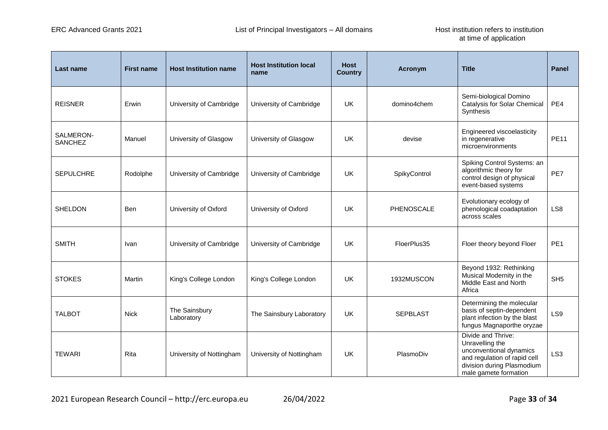| Last name                   | <b>First name</b> | <b>Host Institution name</b> | <b>Host Institution local</b><br>name | <b>Host</b><br><b>Country</b> | <b>Acronym</b>  | <b>Title</b>                                                                                                                                            | <b>Panel</b>    |
|-----------------------------|-------------------|------------------------------|---------------------------------------|-------------------------------|-----------------|---------------------------------------------------------------------------------------------------------------------------------------------------------|-----------------|
| <b>REISNER</b>              | Erwin             | University of Cambridge      | University of Cambridge               | <b>UK</b>                     | domino4chem     | Semi-biological Domino<br>Catalysis for Solar Chemical<br>Synthesis                                                                                     | PE4             |
| SALMERON-<br><b>SANCHEZ</b> | Manuel            | University of Glasgow        | University of Glasgow                 | UK                            | devise          | Engineered viscoelasticity<br>in regenerative<br>microenvironments                                                                                      | <b>PE11</b>     |
| <b>SEPULCHRE</b>            | Rodolphe          | University of Cambridge      | University of Cambridge               | UK.                           | SpikyControl    | Spiking Control Systems: an<br>algorithmic theory for<br>control design of physical<br>event-based systems                                              | PE7             |
| <b>SHELDON</b>              | <b>Ben</b>        | University of Oxford         | University of Oxford                  | <b>UK</b>                     | PHENOSCALE      | Evolutionary ecology of<br>phenological coadaptation<br>across scales                                                                                   | LS8             |
| <b>SMITH</b>                | Ivan              | University of Cambridge      | University of Cambridge               | <b>UK</b>                     | FloerPlus35     | Floer theory beyond Floer                                                                                                                               | PE <sub>1</sub> |
| <b>STOKES</b>               | Martin            | King's College London        | King's College London                 | UK                            | 1932MUSCON      | Beyond 1932: Rethinking<br>Musical Modernity in the<br>Middle East and North<br>Africa                                                                  | SH <sub>5</sub> |
| <b>TALBOT</b>               | <b>Nick</b>       | The Sainsbury<br>Laboratory  | The Sainsbury Laboratory              | UK                            | <b>SEPBLAST</b> | Determining the molecular<br>basis of septin-dependent<br>plant infection by the blast<br>fungus Magnaporthe oryzae                                     | LS9             |
| <b>TEWARI</b>               | Rita              | University of Nottingham     | University of Nottingham              | UK                            | PlasmoDiv       | Divide and Thrive:<br>Unravelling the<br>unconventional dynamics<br>and regulation of rapid cell<br>division during Plasmodium<br>male gamete formation | LS <sub>3</sub> |